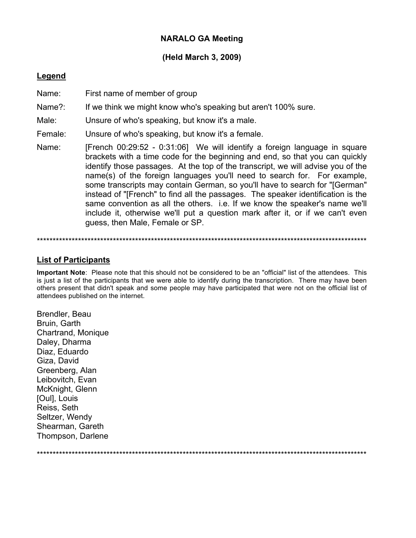# **NARALO GA Meeting**

## **(Held March 3, 2009)**

#### **Legend**

- Name: First name of member of group
- Name?: If we think we might know who's speaking but aren't 100% sure.
- Male: Unsure of who's speaking, but know it's a male.
- Female: Unsure of who's speaking, but know it's a female.
- Name: [French 00:29:52 0:31:06] We will identify a foreign language in square brackets with a time code for the beginning and end, so that you can quickly identify those passages. At the top of the transcript, we will advise you of the name(s) of the foreign languages you'll need to search for. For example, some transcripts may contain German, so you'll have to search for "[German" instead of "[French" to find all the passages. The speaker identification is the same convention as all the others. i.e. If we know the speaker's name we'll include it, otherwise we'll put a question mark after it, or if we can't even guess, then Male, Female or SP.

\*\*\*\*\*\*\*\*\*\*\*\*\*\*\*\*\*\*\*\*\*\*\*\*\*\*\*\*\*\*\*\*\*\*\*\*\*\*\*\*\*\*\*\*\*\*\*\*\*\*\*\*\*\*\*\*\*\*\*\*\*\*\*\*\*\*\*\*\*\*\*\*\*\*\*\*\*\*\*\*\*\*\*\*\*\*\*\*\*\*\*\*\*\*\*\*\*\*\*\*\*\*\*\*

## **List of Participants**

**Important Note**: Please note that this should not be considered to be an "official" list of the attendees. This is just a list of the participants that we were able to identify during the transcription. There may have been others present that didn't speak and some people may have participated that were not on the official list of attendees published on the internet.

Brendler, Beau Bruin, Garth Chartrand, Monique Daley, Dharma Diaz, Eduardo Giza, David Greenberg, Alan Leibovitch, Evan McKnight, Glenn [Oul], Louis Reiss, Seth Seltzer, Wendy Shearman, Gareth Thompson, Darlene

\*\*\*\*\*\*\*\*\*\*\*\*\*\*\*\*\*\*\*\*\*\*\*\*\*\*\*\*\*\*\*\*\*\*\*\*\*\*\*\*\*\*\*\*\*\*\*\*\*\*\*\*\*\*\*\*\*\*\*\*\*\*\*\*\*\*\*\*\*\*\*\*\*\*\*\*\*\*\*\*\*\*\*\*\*\*\*\*\*\*\*\*\*\*\*\*\*\*\*\*\*\*\*\*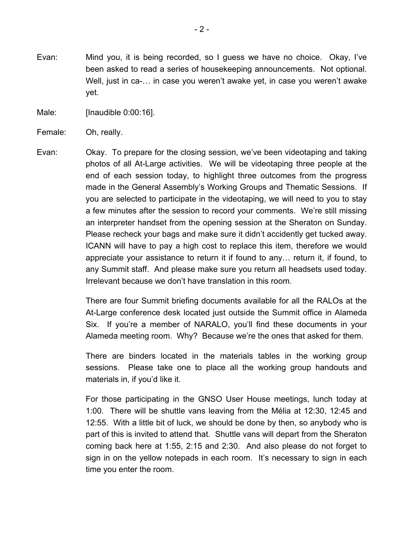- Evan: Mind you, it is being recorded, so I guess we have no choice. Okay, I've been asked to read a series of housekeeping announcements. Not optional. Well, just in ca-… in case you weren't awake yet, in case you weren't awake yet.
- Male: [Inaudible 0:00:16].
- Female: Oh, really.
- Evan: Okay. To prepare for the closing session, we've been videotaping and taking photos of all At-Large activities. We will be videotaping three people at the end of each session today, to highlight three outcomes from the progress made in the General Assembly's Working Groups and Thematic Sessions. If you are selected to participate in the videotaping, we will need to you to stay a few minutes after the session to record your comments. We're still missing an interpreter handset from the opening session at the Sheraton on Sunday. Please recheck your bags and make sure it didn't accidently get tucked away. ICANN will have to pay a high cost to replace this item, therefore we would appreciate your assistance to return it if found to any… return it, if found, to any Summit staff. And please make sure you return all headsets used today. Irrelevant because we don't have translation in this room.

There are four Summit briefing documents available for all the RALOs at the At-Large conference desk located just outside the Summit office in Alameda Six. If you're a member of NARALO, you'll find these documents in your Alameda meeting room. Why? Because we're the ones that asked for them.

There are binders located in the materials tables in the working group sessions. Please take one to place all the working group handouts and materials in, if you'd like it.

For those participating in the GNSO User House meetings, lunch today at 1:00. There will be shuttle vans leaving from the Mélia at 12:30, 12:45 and 12:55. With a little bit of luck, we should be done by then, so anybody who is part of this is invited to attend that. Shuttle vans will depart from the Sheraton coming back here at 1:55, 2:15 and 2:30. And also please do not forget to sign in on the yellow notepads in each room. It's necessary to sign in each time you enter the room.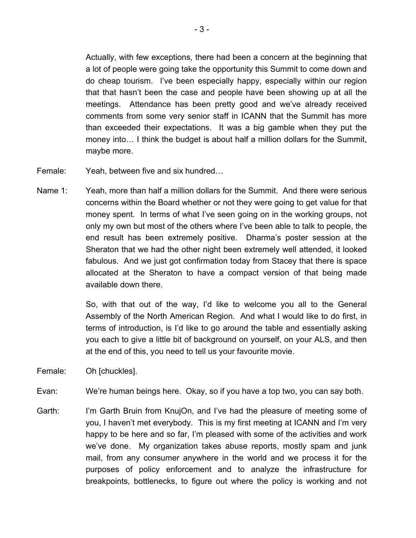Actually, with few exceptions, there had been a concern at the beginning that a lot of people were going take the opportunity this Summit to come down and do cheap tourism. I've been especially happy, especially within our region that that hasn't been the case and people have been showing up at all the meetings. Attendance has been pretty good and we've already received comments from some very senior staff in ICANN that the Summit has more than exceeded their expectations. It was a big gamble when they put the money into… I think the budget is about half a million dollars for the Summit, maybe more.

- Female: Yeah, between five and six hundred…
- Name 1: Yeah, more than half a million dollars for the Summit. And there were serious concerns within the Board whether or not they were going to get value for that money spent. In terms of what I've seen going on in the working groups, not only my own but most of the others where I've been able to talk to people, the end result has been extremely positive. Dharma's poster session at the Sheraton that we had the other night been extremely well attended, it looked fabulous. And we just got confirmation today from Stacey that there is space allocated at the Sheraton to have a compact version of that being made available down there.

So, with that out of the way, I'd like to welcome you all to the General Assembly of the North American Region. And what I would like to do first, in terms of introduction, is I'd like to go around the table and essentially asking you each to give a little bit of background on yourself, on your ALS, and then at the end of this, you need to tell us your favourite movie.

- Female: Oh [chuckles].
- Evan: We're human beings here. Okay, so if you have a top two, you can say both.
- Garth: I'm Garth Bruin from KnujOn, and I've had the pleasure of meeting some of you, I haven't met everybody. This is my first meeting at ICANN and I'm very happy to be here and so far, I'm pleased with some of the activities and work we've done. My organization takes abuse reports, mostly spam and junk mail, from any consumer anywhere in the world and we process it for the purposes of policy enforcement and to analyze the infrastructure for breakpoints, bottlenecks, to figure out where the policy is working and not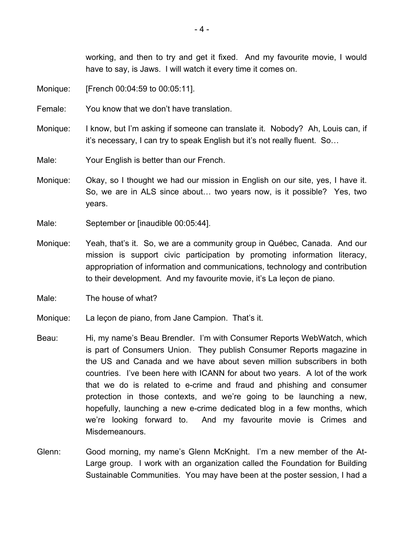working, and then to try and get it fixed. And my favourite movie, I would have to say, is Jaws. I will watch it every time it comes on.

- Monique: [French 00:04:59 to 00:05:11].
- Female: You know that we don't have translation.
- Monique: I know, but I'm asking if someone can translate it. Nobody? Ah, Louis can, if it's necessary, I can try to speak English but it's not really fluent. So…
- Male: Your English is better than our French.
- Monique: Okay, so I thought we had our mission in English on our site, yes, I have it. So, we are in ALS since about… two years now, is it possible? Yes, two years.
- Male: September or [inaudible 00:05:44].
- Monique: Yeah, that's it. So, we are a community group in Québec, Canada. And our mission is support civic participation by promoting information literacy, appropriation of information and communications, technology and contribution to their development. And my favourite movie, it's La leçon de piano.
- Male: The house of what?
- Monique: La leçon de piano, from Jane Campion. That's it.
- Beau: Hi, my name's Beau Brendler. I'm with Consumer Reports WebWatch, which is part of Consumers Union. They publish Consumer Reports magazine in the US and Canada and we have about seven million subscribers in both countries. I've been here with ICANN for about two years. A lot of the work that we do is related to e-crime and fraud and phishing and consumer protection in those contexts, and we're going to be launching a new, hopefully, launching a new e-crime dedicated blog in a few months, which we're looking forward to. And my favourite movie is Crimes and Misdemeanours.
- Glenn: Good morning, my name's Glenn McKnight. I'm a new member of the At-Large group. I work with an organization called the Foundation for Building Sustainable Communities. You may have been at the poster session, I had a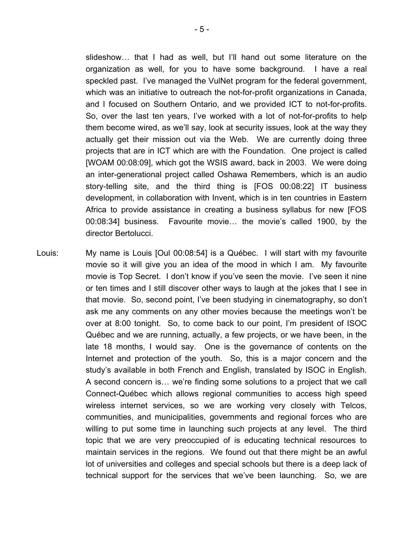slideshow… that I had as well, but I'll hand out some literature on the organization as well, for you to have some background. I have a real speckled past. I've managed the VulNet program for the federal government, which was an initiative to outreach the not-for-profit organizations in Canada, and I focused on Southern Ontario, and we provided ICT to not-for-profits. So, over the last ten years, I've worked with a lot of not-for-profits to help them become wired, as we'll say, look at security issues, look at the way they actually get their mission out via the Web. We are currently doing three projects that are in ICT which are with the Foundation. One project is called [WOAM 00:08:09], which got the WSIS award, back in 2003. We were doing an inter-generational project called Oshawa Remembers, which is an audio story-telling site, and the third thing is [FOS 00:08:22] IT business development, in collaboration with Invent, which is in ten countries in Eastern Africa to provide assistance in creating a business syllabus for new [FOS 00:08:34] business. Favourite movie… the movie's called 1900, by the director Bertolucci.

Louis: My name is Louis [Oul 00:08:54] is a Québec. I will start with my favourite movie so it will give you an idea of the mood in which I am. My favourite movie is Top Secret. I don't know if you've seen the movie. I've seen it nine or ten times and I still discover other ways to laugh at the jokes that I see in that movie. So, second point, I've been studying in cinematography, so don't ask me any comments on any other movies because the meetings won't be over at 8:00 tonight. So, to come back to our point, I'm president of ISOC Québec and we are running, actually, a few projects, or we have been, in the late 18 months, I would say. One is the governance of contents on the Internet and protection of the youth. So, this is a major concern and the study's available in both French and English, translated by ISOC in English. A second concern is… we're finding some solutions to a project that we call Connect-Québec which allows regional communities to access high speed wireless internet services, so we are working very closely with Telcos, communities, and municipalities, governments and regional forces who are willing to put some time in launching such projects at any level. The third topic that we are very preoccupied of is educating technical resources to maintain services in the regions. We found out that there might be an awful lot of universities and colleges and special schools but there is a deep lack of technical support for the services that we've been launching. So, we are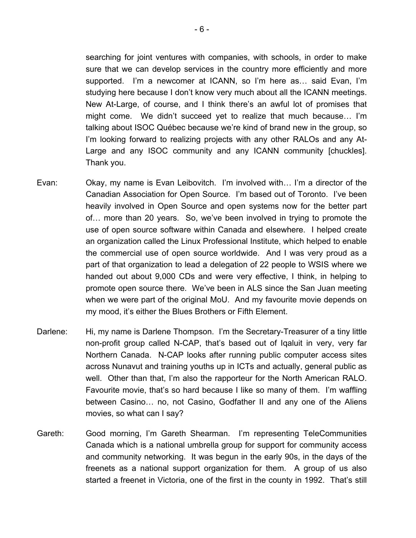searching for joint ventures with companies, with schools, in order to make sure that we can develop services in the country more efficiently and more supported. I'm a newcomer at ICANN, so I'm here as… said Evan, I'm studying here because I don't know very much about all the ICANN meetings. New At-Large, of course, and I think there's an awful lot of promises that might come. We didn't succeed yet to realize that much because… I'm talking about ISOC Québec because we're kind of brand new in the group, so I'm looking forward to realizing projects with any other RALOs and any At-Large and any ISOC community and any ICANN community [chuckles]. Thank you.

- Evan: Okay, my name is Evan Leibovitch. I'm involved with… I'm a director of the Canadian Association for Open Source. I'm based out of Toronto. I've been heavily involved in Open Source and open systems now for the better part of… more than 20 years. So, we've been involved in trying to promote the use of open source software within Canada and elsewhere. I helped create an organization called the Linux Professional Institute, which helped to enable the commercial use of open source worldwide. And I was very proud as a part of that organization to lead a delegation of 22 people to WSIS where we handed out about 9,000 CDs and were very effective, I think, in helping to promote open source there. We've been in ALS since the San Juan meeting when we were part of the original MoU. And my favourite movie depends on my mood, it's either the Blues Brothers or Fifth Element.
- Darlene: Hi, my name is Darlene Thompson. I'm the Secretary-Treasurer of a tiny little non-profit group called N-CAP, that's based out of Iqaluit in very, very far Northern Canada. N-CAP looks after running public computer access sites across Nunavut and training youths up in ICTs and actually, general public as well. Other than that, I'm also the rapporteur for the North American RALO. Favourite movie, that's so hard because I like so many of them. I'm waffling between Casino… no, not Casino, Godfather II and any one of the Aliens movies, so what can I say?
- Gareth: Good morning, I'm Gareth Shearman. I'm representing TeleCommunities Canada which is a national umbrella group for support for community access and community networking. It was begun in the early 90s, in the days of the freenets as a national support organization for them. A group of us also started a freenet in Victoria, one of the first in the county in 1992. That's still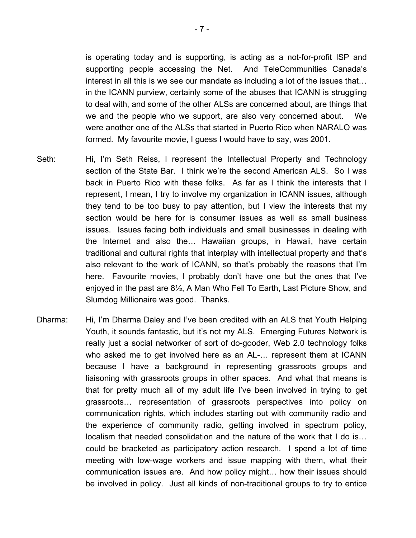is operating today and is supporting, is acting as a not-for-profit ISP and supporting people accessing the Net. And TeleCommunities Canada's interest in all this is we see our mandate as including a lot of the issues that… in the ICANN purview, certainly some of the abuses that ICANN is struggling to deal with, and some of the other ALSs are concerned about, are things that we and the people who we support, are also very concerned about. We were another one of the ALSs that started in Puerto Rico when NARALO was formed. My favourite movie, I guess I would have to say, was 2001.

- Seth: Hi, I'm Seth Reiss, I represent the Intellectual Property and Technology section of the State Bar. I think we're the second American ALS. So I was back in Puerto Rico with these folks. As far as I think the interests that I represent, I mean, I try to involve my organization in ICANN issues, although they tend to be too busy to pay attention, but I view the interests that my section would be here for is consumer issues as well as small business issues. Issues facing both individuals and small businesses in dealing with the Internet and also the… Hawaiian groups, in Hawaii, have certain traditional and cultural rights that interplay with intellectual property and that's also relevant to the work of ICANN, so that's probably the reasons that I'm here. Favourite movies, I probably don't have one but the ones that I've enjoyed in the past are 8½, A Man Who Fell To Earth, Last Picture Show, and Slumdog Millionaire was good. Thanks.
- Dharma: Hi, I'm Dharma Daley and I've been credited with an ALS that Youth Helping Youth, it sounds fantastic, but it's not my ALS. Emerging Futures Network is really just a social networker of sort of do-gooder, Web 2.0 technology folks who asked me to get involved here as an AL-… represent them at ICANN because I have a background in representing grassroots groups and liaisoning with grassroots groups in other spaces. And what that means is that for pretty much all of my adult life I've been involved in trying to get grassroots… representation of grassroots perspectives into policy on communication rights, which includes starting out with community radio and the experience of community radio, getting involved in spectrum policy, localism that needed consolidation and the nature of the work that I do is… could be bracketed as participatory action research. I spend a lot of time meeting with low-wage workers and issue mapping with them, what their communication issues are. And how policy might… how their issues should be involved in policy. Just all kinds of non-traditional groups to try to entice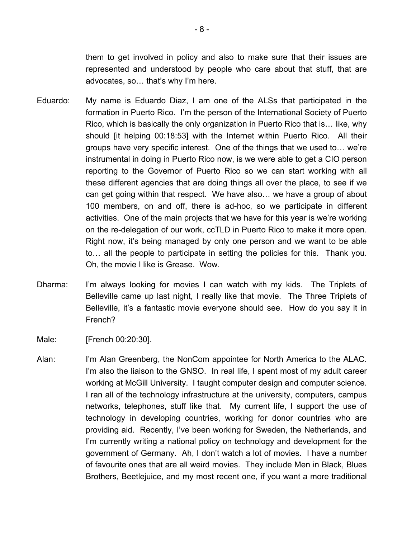them to get involved in policy and also to make sure that their issues are represented and understood by people who care about that stuff, that are advocates, so… that's why I'm here.

- Eduardo: My name is Eduardo Diaz, I am one of the ALSs that participated in the formation in Puerto Rico. I'm the person of the International Society of Puerto Rico, which is basically the only organization in Puerto Rico that is… like, why should [it helping 00:18:53] with the Internet within Puerto Rico. All their groups have very specific interest. One of the things that we used to… we're instrumental in doing in Puerto Rico now, is we were able to get a CIO person reporting to the Governor of Puerto Rico so we can start working with all these different agencies that are doing things all over the place, to see if we can get going within that respect. We have also… we have a group of about 100 members, on and off, there is ad-hoc, so we participate in different activities. One of the main projects that we have for this year is we're working on the re-delegation of our work, ccTLD in Puerto Rico to make it more open. Right now, it's being managed by only one person and we want to be able to… all the people to participate in setting the policies for this. Thank you. Oh, the movie I like is Grease. Wow.
- Dharma: I'm always looking for movies I can watch with my kids. The Triplets of Belleville came up last night, I really like that movie. The Three Triplets of Belleville, it's a fantastic movie everyone should see. How do you say it in French?
- Male: [French 00:20:30].
- Alan: I'm Alan Greenberg, the NonCom appointee for North America to the ALAC. I'm also the liaison to the GNSO. In real life, I spent most of my adult career working at McGill University. I taught computer design and computer science. I ran all of the technology infrastructure at the university, computers, campus networks, telephones, stuff like that. My current life, I support the use of technology in developing countries, working for donor countries who are providing aid. Recently, I've been working for Sweden, the Netherlands, and I'm currently writing a national policy on technology and development for the government of Germany. Ah, I don't watch a lot of movies. I have a number of favourite ones that are all weird movies. They include Men in Black, Blues Brothers, Beetlejuice, and my most recent one, if you want a more traditional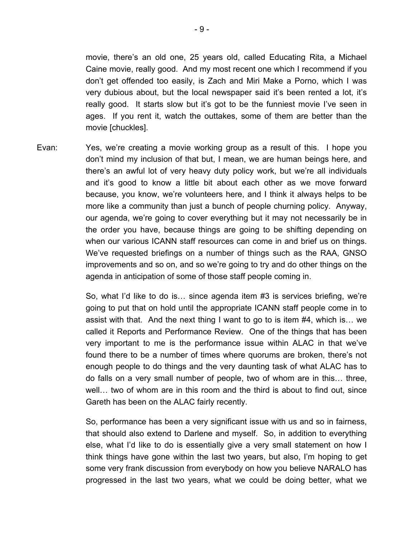movie, there's an old one, 25 years old, called Educating Rita, a Michael Caine movie, really good. And my most recent one which I recommend if you don't get offended too easily, is Zach and Miri Make a Porno, which I was very dubious about, but the local newspaper said it's been rented a lot, it's really good. It starts slow but it's got to be the funniest movie I've seen in ages. If you rent it, watch the outtakes, some of them are better than the movie [chuckles].

Evan: Yes, we're creating a movie working group as a result of this. I hope you don't mind my inclusion of that but, I mean, we are human beings here, and there's an awful lot of very heavy duty policy work, but we're all individuals and it's good to know a little bit about each other as we move forward because, you know, we're volunteers here, and I think it always helps to be more like a community than just a bunch of people churning policy. Anyway, our agenda, we're going to cover everything but it may not necessarily be in the order you have, because things are going to be shifting depending on when our various ICANN staff resources can come in and brief us on things. We've requested briefings on a number of things such as the RAA, GNSO improvements and so on, and so we're going to try and do other things on the agenda in anticipation of some of those staff people coming in.

> So, what I'd like to do is… since agenda item #3 is services briefing, we're going to put that on hold until the appropriate ICANN staff people come in to assist with that. And the next thing I want to go to is item #4, which is… we called it Reports and Performance Review. One of the things that has been very important to me is the performance issue within ALAC in that we've found there to be a number of times where quorums are broken, there's not enough people to do things and the very daunting task of what ALAC has to do falls on a very small number of people, two of whom are in this… three, well… two of whom are in this room and the third is about to find out, since Gareth has been on the ALAC fairly recently.

> So, performance has been a very significant issue with us and so in fairness, that should also extend to Darlene and myself. So, in addition to everything else, what I'd like to do is essentially give a very small statement on how I think things have gone within the last two years, but also, I'm hoping to get some very frank discussion from everybody on how you believe NARALO has progressed in the last two years, what we could be doing better, what we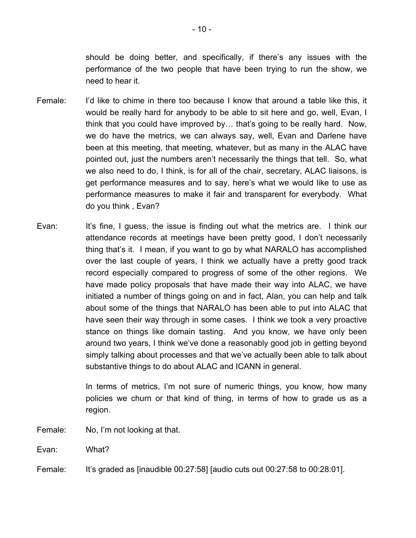should be doing better, and specifically, if there's any issues with the performance of the two people that have been trying to run the show, we need to hear it.

- Female: I'd like to chime in there too because I know that around a table like this, it would be really hard for anybody to be able to sit here and go, well, Evan, I think that you could have improved by… that's going to be really hard. Now, we do have the metrics, we can always say, well, Evan and Darlene have been at this meeting, that meeting, whatever, but as many in the ALAC have pointed out, just the numbers aren't necessarily the things that tell. So, what we also need to do, I think, is for all of the chair, secretary, ALAC liaisons, is get performance measures and to say, here's what we would like to use as performance measures to make it fair and transparent for everybody. What do you think , Evan?
- Evan: It's fine, I guess, the issue is finding out what the metrics are. I think our attendance records at meetings have been pretty good, I don't necessarily thing that's it. I mean, if you want to go by what NARALO has accomplished over the last couple of years, I think we actually have a pretty good track record especially compared to progress of some of the other regions. We have made policy proposals that have made their way into ALAC, we have initiated a number of things going on and in fact, Alan, you can help and talk about some of the things that NARALO has been able to put into ALAC that have seen their way through in some cases. I think we took a very proactive stance on things like domain tasting. And you know, we have only been around two years, I think we've done a reasonably good job in getting beyond simply talking about processes and that we've actually been able to talk about substantive things to do about ALAC and ICANN in general.

In terms of metrics, I'm not sure of numeric things, you know, how many policies we churn or that kind of thing, in terms of how to grade us as a region.

- Female: No, I'm not looking at that.
- Evan: What?
- Female: It's graded as [inaudible 00:27:58] [audio cuts out 00:27:58 to 00:28:01].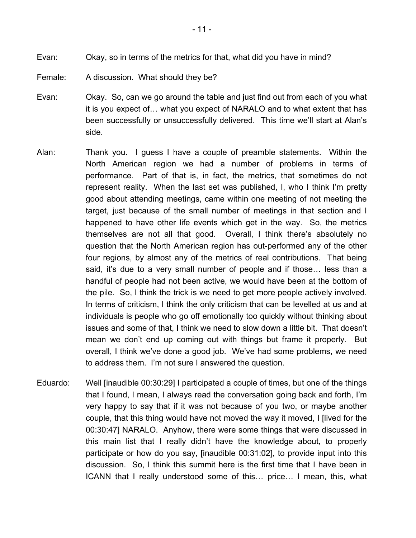- Evan: Okay, so in terms of the metrics for that, what did you have in mind?
- Female: A discussion. What should they be?
- Evan: Okay. So, can we go around the table and just find out from each of you what it is you expect of… what you expect of NARALO and to what extent that has been successfully or unsuccessfully delivered. This time we'll start at Alan's side.
- Alan: Thank you. I guess I have a couple of preamble statements. Within the North American region we had a number of problems in terms of performance. Part of that is, in fact, the metrics, that sometimes do not represent reality. When the last set was published, I, who I think I'm pretty good about attending meetings, came within one meeting of not meeting the target, just because of the small number of meetings in that section and I happened to have other life events which get in the way. So, the metrics themselves are not all that good. Overall, I think there's absolutely no question that the North American region has out-performed any of the other four regions, by almost any of the metrics of real contributions. That being said, it's due to a very small number of people and if those… less than a handful of people had not been active, we would have been at the bottom of the pile. So, I think the trick is we need to get more people actively involved. In terms of criticism, I think the only criticism that can be levelled at us and at individuals is people who go off emotionally too quickly without thinking about issues and some of that, I think we need to slow down a little bit. That doesn't mean we don't end up coming out with things but frame it properly. But overall, I think we've done a good job. We've had some problems, we need to address them. I'm not sure I answered the question.
- Eduardo: Well [inaudible 00:30:29] I participated a couple of times, but one of the things that I found, I mean, I always read the conversation going back and forth, I'm very happy to say that if it was not because of you two, or maybe another couple, that this thing would have not moved the way it moved, I [lived for the 00:30:47] NARALO. Anyhow, there were some things that were discussed in this main list that I really didn't have the knowledge about, to properly participate or how do you say, [inaudible 00:31:02], to provide input into this discussion. So, I think this summit here is the first time that I have been in ICANN that I really understood some of this… price… I mean, this, what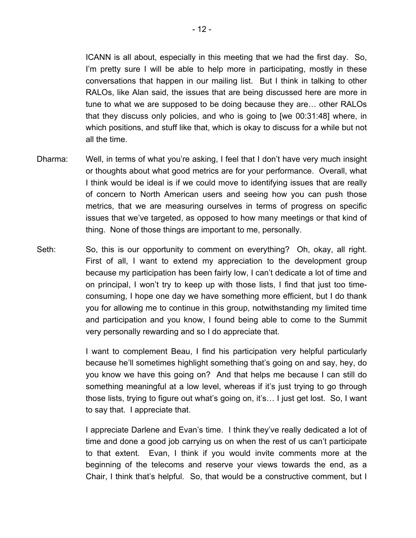ICANN is all about, especially in this meeting that we had the first day. So, I'm pretty sure I will be able to help more in participating, mostly in these conversations that happen in our mailing list. But I think in talking to other RALOs, like Alan said, the issues that are being discussed here are more in tune to what we are supposed to be doing because they are… other RALOs that they discuss only policies, and who is going to [we 00:31:48] where, in which positions, and stuff like that, which is okay to discuss for a while but not all the time.

- Dharma: Well, in terms of what you're asking, I feel that I don't have very much insight or thoughts about what good metrics are for your performance. Overall, what I think would be ideal is if we could move to identifying issues that are really of concern to North American users and seeing how you can push those metrics, that we are measuring ourselves in terms of progress on specific issues that we've targeted, as opposed to how many meetings or that kind of thing. None of those things are important to me, personally.
- Seth: So, this is our opportunity to comment on everything? Oh, okay, all right. First of all, I want to extend my appreciation to the development group because my participation has been fairly low, I can't dedicate a lot of time and on principal, I won't try to keep up with those lists, I find that just too timeconsuming, I hope one day we have something more efficient, but I do thank you for allowing me to continue in this group, notwithstanding my limited time and participation and you know, I found being able to come to the Summit very personally rewarding and so I do appreciate that.

I want to complement Beau, I find his participation very helpful particularly because he'll sometimes highlight something that's going on and say, hey, do you know we have this going on? And that helps me because I can still do something meaningful at a low level, whereas if it's just trying to go through those lists, trying to figure out what's going on, it's… I just get lost. So, I want to say that. I appreciate that.

I appreciate Darlene and Evan's time. I think they've really dedicated a lot of time and done a good job carrying us on when the rest of us can't participate to that extent. Evan, I think if you would invite comments more at the beginning of the telecoms and reserve your views towards the end, as a Chair, I think that's helpful. So, that would be a constructive comment, but I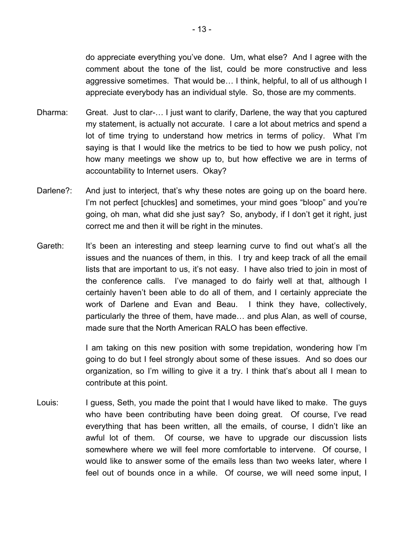do appreciate everything you've done. Um, what else? And I agree with the comment about the tone of the list, could be more constructive and less aggressive sometimes. That would be… I think, helpful, to all of us although I appreciate everybody has an individual style. So, those are my comments.

- Dharma: Great. Just to clar-... I just want to clarify, Darlene, the way that you captured my statement, is actually not accurate. I care a lot about metrics and spend a lot of time trying to understand how metrics in terms of policy. What I'm saying is that I would like the metrics to be tied to how we push policy, not how many meetings we show up to, but how effective we are in terms of accountability to Internet users. Okay?
- Darlene?: And just to interject, that's why these notes are going up on the board here. I'm not perfect [chuckles] and sometimes, your mind goes "bloop" and you're going, oh man, what did she just say? So, anybody, if I don't get it right, just correct me and then it will be right in the minutes.
- Gareth: It's been an interesting and steep learning curve to find out what's all the issues and the nuances of them, in this. I try and keep track of all the email lists that are important to us, it's not easy. I have also tried to join in most of the conference calls. I've managed to do fairly well at that, although I certainly haven't been able to do all of them, and I certainly appreciate the work of Darlene and Evan and Beau. I think they have, collectively, particularly the three of them, have made… and plus Alan, as well of course, made sure that the North American RALO has been effective.

I am taking on this new position with some trepidation, wondering how I'm going to do but I feel strongly about some of these issues. And so does our organization, so I'm willing to give it a try. I think that's about all I mean to contribute at this point.

Louis: I guess, Seth, you made the point that I would have liked to make. The guys who have been contributing have been doing great. Of course, I've read everything that has been written, all the emails, of course, I didn't like an awful lot of them. Of course, we have to upgrade our discussion lists somewhere where we will feel more comfortable to intervene. Of course, I would like to answer some of the emails less than two weeks later, where I feel out of bounds once in a while. Of course, we will need some input, I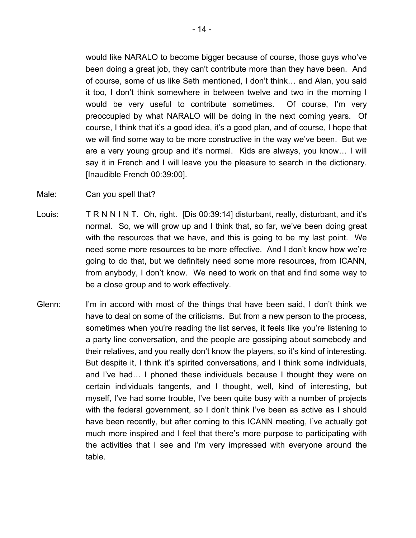would like NARALO to become bigger because of course, those guys who've been doing a great job, they can't contribute more than they have been. And of course, some of us like Seth mentioned, I don't think… and Alan, you said it too, I don't think somewhere in between twelve and two in the morning I would be very useful to contribute sometimes. Of course, I'm very preoccupied by what NARALO will be doing in the next coming years. Of course, I think that it's a good idea, it's a good plan, and of course, I hope that we will find some way to be more constructive in the way we've been. But we are a very young group and it's normal. Kids are always, you know… I will say it in French and I will leave you the pleasure to search in the dictionary. [Inaudible French 00:39:00].

- Male: Can you spell that?
- Louis: T R N N I N T. Oh, right. [Dis 00:39:14] disturbant, really, disturbant, and it's normal. So, we will grow up and I think that, so far, we've been doing great with the resources that we have, and this is going to be my last point. We need some more resources to be more effective. And I don't know how we're going to do that, but we definitely need some more resources, from ICANN, from anybody, I don't know. We need to work on that and find some way to be a close group and to work effectively.
- Glenn: I'm in accord with most of the things that have been said, I don't think we have to deal on some of the criticisms. But from a new person to the process, sometimes when you're reading the list serves, it feels like you're listening to a party line conversation, and the people are gossiping about somebody and their relatives, and you really don't know the players, so it's kind of interesting. But despite it, I think it's spirited conversations, and I think some individuals, and I've had… I phoned these individuals because I thought they were on certain individuals tangents, and I thought, well, kind of interesting, but myself, I've had some trouble, I've been quite busy with a number of projects with the federal government, so I don't think I've been as active as I should have been recently, but after coming to this ICANN meeting, I've actually got much more inspired and I feel that there's more purpose to participating with the activities that I see and I'm very impressed with everyone around the table.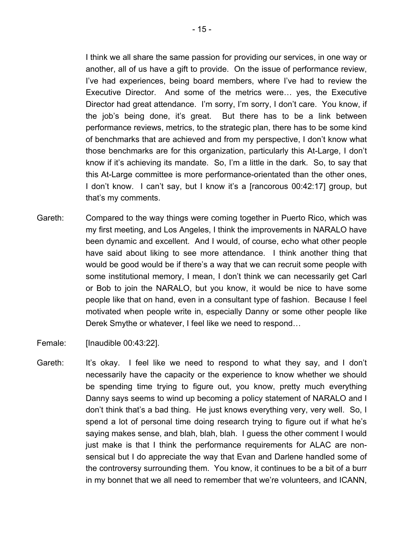I think we all share the same passion for providing our services, in one way or another, all of us have a gift to provide. On the issue of performance review, I've had experiences, being board members, where I've had to review the Executive Director. And some of the metrics were… yes, the Executive Director had great attendance. I'm sorry, I'm sorry, I don't care. You know, if the job's being done, it's great. But there has to be a link between performance reviews, metrics, to the strategic plan, there has to be some kind of benchmarks that are achieved and from my perspective, I don't know what those benchmarks are for this organization, particularly this At-Large, I don't know if it's achieving its mandate. So, I'm a little in the dark. So, to say that this At-Large committee is more performance-orientated than the other ones, I don't know. I can't say, but I know it's a [rancorous 00:42:17] group, but that's my comments.

- Gareth: Compared to the way things were coming together in Puerto Rico, which was my first meeting, and Los Angeles, I think the improvements in NARALO have been dynamic and excellent. And I would, of course, echo what other people have said about liking to see more attendance. I think another thing that would be good would be if there's a way that we can recruit some people with some institutional memory, I mean, I don't think we can necessarily get Carl or Bob to join the NARALO, but you know, it would be nice to have some people like that on hand, even in a consultant type of fashion. Because I feel motivated when people write in, especially Danny or some other people like Derek Smythe or whatever, I feel like we need to respond…
- Female: [Inaudible 00:43:22].
- Gareth: It's okay. I feel like we need to respond to what they say, and I don't necessarily have the capacity or the experience to know whether we should be spending time trying to figure out, you know, pretty much everything Danny says seems to wind up becoming a policy statement of NARALO and I don't think that's a bad thing. He just knows everything very, very well. So, I spend a lot of personal time doing research trying to figure out if what he's saying makes sense, and blah, blah, blah. I guess the other comment I would just make is that I think the performance requirements for ALAC are nonsensical but I do appreciate the way that Evan and Darlene handled some of the controversy surrounding them. You know, it continues to be a bit of a burr in my bonnet that we all need to remember that we're volunteers, and ICANN,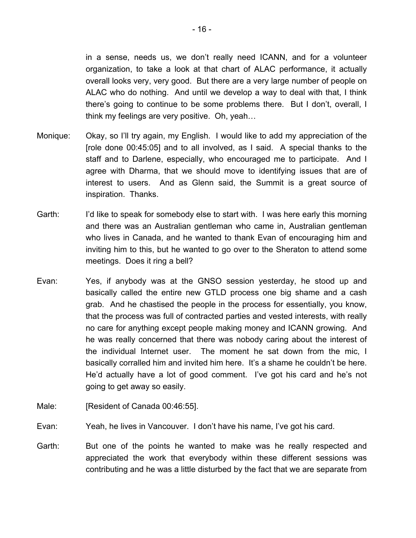in a sense, needs us, we don't really need ICANN, and for a volunteer organization, to take a look at that chart of ALAC performance, it actually overall looks very, very good. But there are a very large number of people on ALAC who do nothing. And until we develop a way to deal with that, I think there's going to continue to be some problems there. But I don't, overall, I think my feelings are very positive. Oh, yeah…

- Monique: Okay, so I'll try again, my English. I would like to add my appreciation of the [role done 00:45:05] and to all involved, as I said. A special thanks to the staff and to Darlene, especially, who encouraged me to participate. And I agree with Dharma, that we should move to identifying issues that are of interest to users. And as Glenn said, the Summit is a great source of inspiration. Thanks.
- Garth: I'd like to speak for somebody else to start with. I was here early this morning and there was an Australian gentleman who came in, Australian gentleman who lives in Canada, and he wanted to thank Evan of encouraging him and inviting him to this, but he wanted to go over to the Sheraton to attend some meetings. Does it ring a bell?
- Evan: Yes, if anybody was at the GNSO session yesterday, he stood up and basically called the entire new GTLD process one big shame and a cash grab. And he chastised the people in the process for essentially, you know, that the process was full of contracted parties and vested interests, with really no care for anything except people making money and ICANN growing. And he was really concerned that there was nobody caring about the interest of the individual Internet user. The moment he sat down from the mic, I basically corralled him and invited him here. It's a shame he couldn't be here. He'd actually have a lot of good comment. I've got his card and he's not going to get away so easily.
- Male: [Resident of Canada 00:46:55].
- Evan: Yeah, he lives in Vancouver. I don't have his name, I've got his card.
- Garth: But one of the points he wanted to make was he really respected and appreciated the work that everybody within these different sessions was contributing and he was a little disturbed by the fact that we are separate from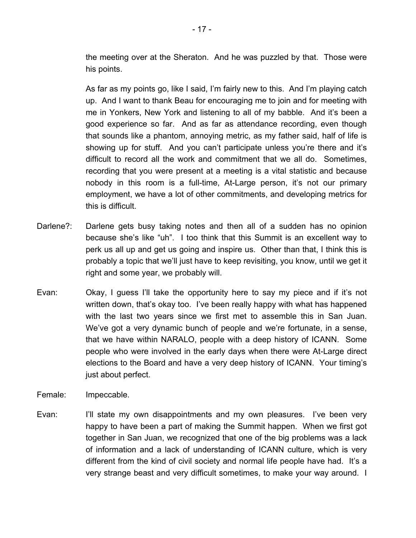the meeting over at the Sheraton. And he was puzzled by that. Those were his points.

As far as my points go, like I said, I'm fairly new to this. And I'm playing catch up. And I want to thank Beau for encouraging me to join and for meeting with me in Yonkers, New York and listening to all of my babble. And it's been a good experience so far. And as far as attendance recording, even though that sounds like a phantom, annoying metric, as my father said, half of life is showing up for stuff. And you can't participate unless you're there and it's difficult to record all the work and commitment that we all do. Sometimes, recording that you were present at a meeting is a vital statistic and because nobody in this room is a full-time, At-Large person, it's not our primary employment, we have a lot of other commitments, and developing metrics for this is difficult.

- Darlene?: Darlene gets busy taking notes and then all of a sudden has no opinion because she's like "uh". I too think that this Summit is an excellent way to perk us all up and get us going and inspire us. Other than that, I think this is probably a topic that we'll just have to keep revisiting, you know, until we get it right and some year, we probably will.
- Evan: Okay, I guess I'll take the opportunity here to say my piece and if it's not written down, that's okay too. I've been really happy with what has happened with the last two years since we first met to assemble this in San Juan. We've got a very dynamic bunch of people and we're fortunate, in a sense, that we have within NARALO, people with a deep history of ICANN. Some people who were involved in the early days when there were At-Large direct elections to the Board and have a very deep history of ICANN. Your timing's just about perfect.
- Female: Impeccable.
- Evan: I'll state my own disappointments and my own pleasures. I've been very happy to have been a part of making the Summit happen. When we first got together in San Juan, we recognized that one of the big problems was a lack of information and a lack of understanding of ICANN culture, which is very different from the kind of civil society and normal life people have had. It's a very strange beast and very difficult sometimes, to make your way around. I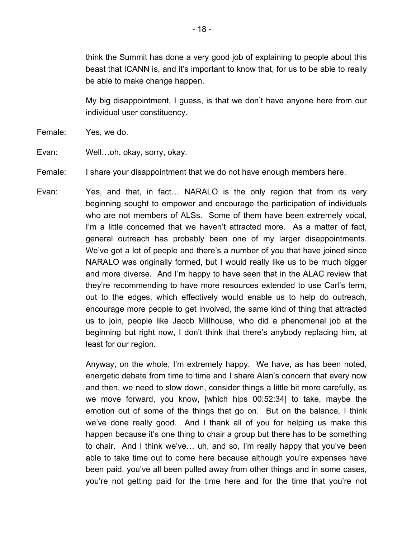think the Summit has done a very good job of explaining to people about this beast that ICANN is, and it's important to know that, for us to be able to really be able to make change happen.

My big disappointment, I guess, is that we don't have anyone here from our individual user constituency.

Female: Yes, we do.

Evan: Well…oh, okay, sorry, okay.

Female: I share your disappointment that we do not have enough members here.

Evan: Yes, and that, in fact... NARALO is the only region that from its very beginning sought to empower and encourage the participation of individuals who are not members of ALSs. Some of them have been extremely vocal, I'm a little concerned that we haven't attracted more. As a matter of fact, general outreach has probably been one of my larger disappointments. We've got a lot of people and there's a number of you that have joined since NARALO was originally formed, but I would really like us to be much bigger and more diverse. And I'm happy to have seen that in the ALAC review that they're recommending to have more resources extended to use Carl's term, out to the edges, which effectively would enable us to help do outreach, encourage more people to get involved, the same kind of thing that attracted us to join, people like Jacob Millhouse, who did a phenomenal job at the beginning but right now, I don't think that there's anybody replacing him, at least for our region.

> Anyway, on the whole, I'm extremely happy. We have, as has been noted, energetic debate from time to time and I share Alan's concern that every now and then, we need to slow down, consider things a little bit more carefully, as we move forward, you know, [which hips 00:52:34] to take, maybe the emotion out of some of the things that go on. But on the balance, I think we've done really good. And I thank all of you for helping us make this happen because it's one thing to chair a group but there has to be something to chair. And I think we've… uh, and so, I'm really happy that you've been able to take time out to come here because although you're expenses have been paid, you've all been pulled away from other things and in some cases, you're not getting paid for the time here and for the time that you're not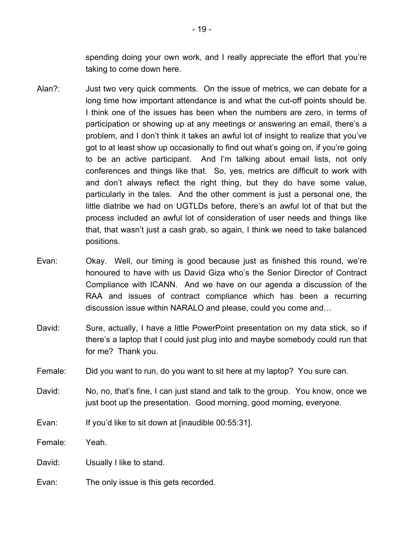spending doing your own work, and I really appreciate the effort that you're taking to come down here.

- Alan?: Just two very quick comments. On the issue of metrics, we can debate for a long time how important attendance is and what the cut-off points should be. I think one of the issues has been when the numbers are zero, in terms of participation or showing up at any meetings or answering an email, there's a problem, and I don't think it takes an awful lot of insight to realize that you've got to at least show up occasionally to find out what's going on, if you're going to be an active participant. And I'm talking about email lists, not only conferences and things like that. So, yes, metrics are difficult to work with and don't always reflect the right thing, but they do have some value, particularly in the tales. And the other comment is just a personal one, the little diatribe we had on UGTLDs before, there's an awful lot of that but the process included an awful lot of consideration of user needs and things like that, that wasn't just a cash grab, so again, I think we need to take balanced positions.
- Evan: Okay. Well, our timing is good because just as finished this round, we're honoured to have with us David Giza who's the Senior Director of Contract Compliance with ICANN. And we have on our agenda a discussion of the RAA and issues of contract compliance which has been a recurring discussion issue within NARALO and please, could you come and…
- David: Sure, actually, I have a little PowerPoint presentation on my data stick, so if there's a laptop that I could just plug into and maybe somebody could run that for me? Thank you.
- Female: Did you want to run, do you want to sit here at my laptop? You sure can.
- David: No, no, that's fine, I can just stand and talk to the group. You know, once we just boot up the presentation. Good morning, good morning, everyone.
- Evan: If you'd like to sit down at [inaudible 00:55:31].
- Female: Yeah.

David: Usually I like to stand.

Evan: The only issue is this gets recorded.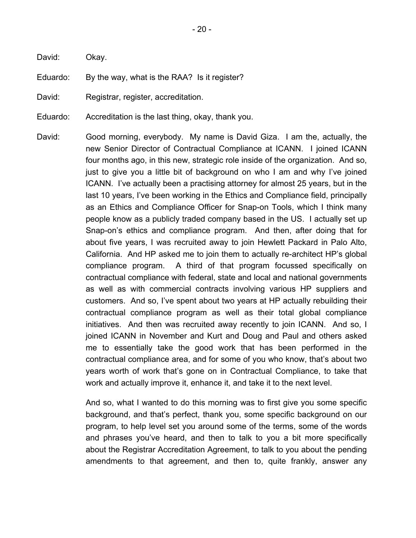David: Okay.

Eduardo: By the way, what is the RAA? Is it register?

David: Registrar, register, accreditation.

- Eduardo: Accreditation is the last thing, okay, thank you.
- David: Good morning, everybody. My name is David Giza. I am the, actually, the new Senior Director of Contractual Compliance at ICANN. I joined ICANN four months ago, in this new, strategic role inside of the organization. And so, just to give you a little bit of background on who I am and why I've joined ICANN. I've actually been a practising attorney for almost 25 years, but in the last 10 years, I've been working in the Ethics and Compliance field, principally as an Ethics and Compliance Officer for Snap-on Tools, which I think many people know as a publicly traded company based in the US. I actually set up Snap-on's ethics and compliance program. And then, after doing that for about five years, I was recruited away to join Hewlett Packard in Palo Alto, California. And HP asked me to join them to actually re-architect HP's global compliance program. A third of that program focussed specifically on contractual compliance with federal, state and local and national governments as well as with commercial contracts involving various HP suppliers and customers. And so, I've spent about two years at HP actually rebuilding their contractual compliance program as well as their total global compliance initiatives. And then was recruited away recently to join ICANN. And so, I joined ICANN in November and Kurt and Doug and Paul and others asked me to essentially take the good work that has been performed in the contractual compliance area, and for some of you who know, that's about two years worth of work that's gone on in Contractual Compliance, to take that work and actually improve it, enhance it, and take it to the next level.

And so, what I wanted to do this morning was to first give you some specific background, and that's perfect, thank you, some specific background on our program, to help level set you around some of the terms, some of the words and phrases you've heard, and then to talk to you a bit more specifically about the Registrar Accreditation Agreement, to talk to you about the pending amendments to that agreement, and then to, quite frankly, answer any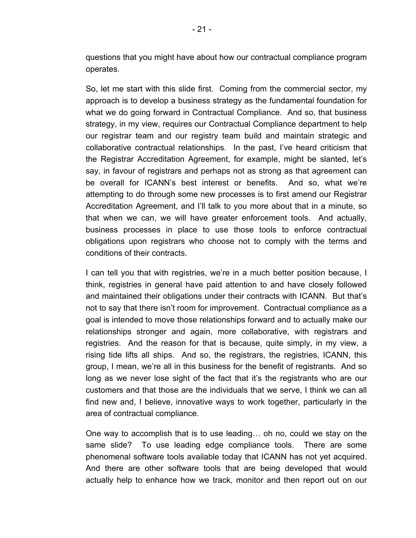questions that you might have about how our contractual compliance program operates.

So, let me start with this slide first. Coming from the commercial sector, my approach is to develop a business strategy as the fundamental foundation for what we do going forward in Contractual Compliance. And so, that business strategy, in my view, requires our Contractual Compliance department to help our registrar team and our registry team build and maintain strategic and collaborative contractual relationships. In the past, I've heard criticism that the Registrar Accreditation Agreement, for example, might be slanted, let's say, in favour of registrars and perhaps not as strong as that agreement can be overall for ICANN's best interest or benefits. And so, what we're attempting to do through some new processes is to first amend our Registrar Accreditation Agreement, and I'll talk to you more about that in a minute, so that when we can, we will have greater enforcement tools. And actually, business processes in place to use those tools to enforce contractual obligations upon registrars who choose not to comply with the terms and conditions of their contracts.

I can tell you that with registries, we're in a much better position because, I think, registries in general have paid attention to and have closely followed and maintained their obligations under their contracts with ICANN. But that's not to say that there isn't room for improvement. Contractual compliance as a goal is intended to move those relationships forward and to actually make our relationships stronger and again, more collaborative, with registrars and registries. And the reason for that is because, quite simply, in my view, a rising tide lifts all ships. And so, the registrars, the registries, ICANN, this group, I mean, we're all in this business for the benefit of registrants. And so long as we never lose sight of the fact that it's the registrants who are our customers and that those are the individuals that we serve, I think we can all find new and, I believe, innovative ways to work together, particularly in the area of contractual compliance.

One way to accomplish that is to use leading… oh no, could we stay on the same slide? To use leading edge compliance tools. There are some phenomenal software tools available today that ICANN has not yet acquired. And there are other software tools that are being developed that would actually help to enhance how we track, monitor and then report out on our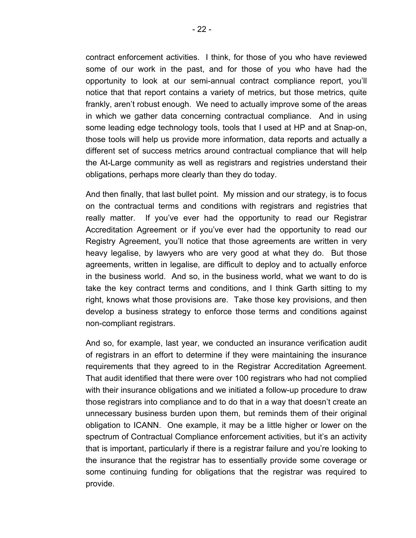contract enforcement activities. I think, for those of you who have reviewed some of our work in the past, and for those of you who have had the opportunity to look at our semi-annual contract compliance report, you'll notice that that report contains a variety of metrics, but those metrics, quite frankly, aren't robust enough. We need to actually improve some of the areas in which we gather data concerning contractual compliance. And in using some leading edge technology tools, tools that I used at HP and at Snap-on, those tools will help us provide more information, data reports and actually a different set of success metrics around contractual compliance that will help the At-Large community as well as registrars and registries understand their

And then finally, that last bullet point. My mission and our strategy, is to focus on the contractual terms and conditions with registrars and registries that really matter. If you've ever had the opportunity to read our Registrar Accreditation Agreement or if you've ever had the opportunity to read our Registry Agreement, you'll notice that those agreements are written in very heavy legalise, by lawyers who are very good at what they do. But those agreements, written in legalise, are difficult to deploy and to actually enforce in the business world. And so, in the business world, what we want to do is take the key contract terms and conditions, and I think Garth sitting to my right, knows what those provisions are. Take those key provisions, and then develop a business strategy to enforce those terms and conditions against non-compliant registrars.

And so, for example, last year, we conducted an insurance verification audit of registrars in an effort to determine if they were maintaining the insurance requirements that they agreed to in the Registrar Accreditation Agreement. That audit identified that there were over 100 registrars who had not complied with their insurance obligations and we initiated a follow-up procedure to draw those registrars into compliance and to do that in a way that doesn't create an unnecessary business burden upon them, but reminds them of their original obligation to ICANN. One example, it may be a little higher or lower on the spectrum of Contractual Compliance enforcement activities, but it's an activity that is important, particularly if there is a registrar failure and you're looking to the insurance that the registrar has to essentially provide some coverage or some continuing funding for obligations that the registrar was required to provide.

obligations, perhaps more clearly than they do today.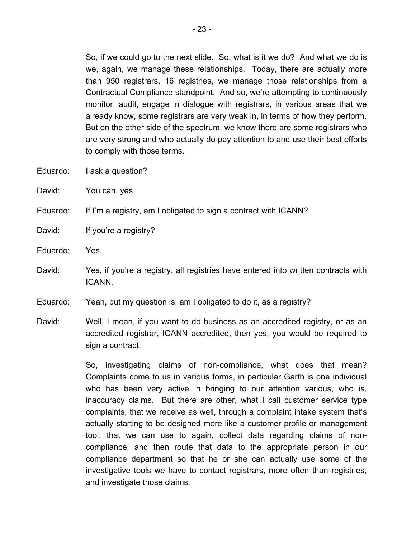So, if we could go to the next slide. So, what is it we do? And what we do is we, again, we manage these relationships. Today, there are actually more than 950 registrars, 16 registries, we manage those relationships from a Contractual Compliance standpoint. And so, we're attempting to continuously monitor, audit, engage in dialogue with registrars, in various areas that we already know, some registrars are very weak in, in terms of how they perform. But on the other side of the spectrum, we know there are some registrars who are very strong and who actually do pay attention to and use their best efforts to comply with those terms.

- Eduardo: I ask a question?
- David: You can, yes.
- Eduardo: If I'm a registry, am I obligated to sign a contract with ICANN?
- David: If you're a registry?
- Eduardo; Yes.
- David: Yes, if you're a registry, all registries have entered into written contracts with **ICANN**
- Eduardo: Yeah, but my question is, am I obligated to do it, as a registry?
- David: Well, I mean, if you want to do business as an accredited registry, or as an accredited registrar, ICANN accredited, then yes, you would be required to sign a contract.

So, investigating claims of non-compliance, what does that mean? Complaints come to us in various forms, in particular Garth is one individual who has been very active in bringing to our attention various, who is, inaccuracy claims. But there are other, what I call customer service type complaints, that we receive as well, through a complaint intake system that's actually starting to be designed more like a customer profile or management tool, that we can use to again, collect data regarding claims of noncompliance, and then route that data to the appropriate person in our compliance department so that he or she can actually use some of the investigative tools we have to contact registrars, more often than registries, and investigate those claims.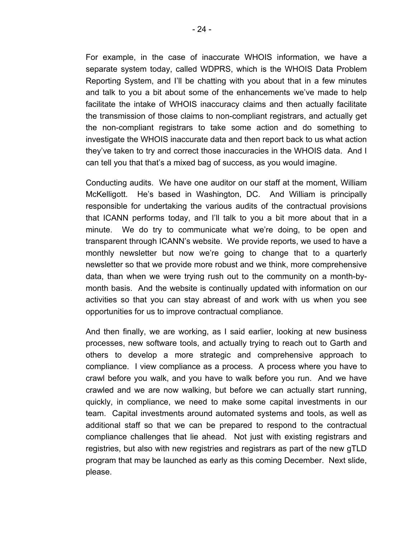For example, in the case of inaccurate WHOIS information, we have a separate system today, called WDPRS, which is the WHOIS Data Problem Reporting System, and I'll be chatting with you about that in a few minutes and talk to you a bit about some of the enhancements we've made to help facilitate the intake of WHOIS inaccuracy claims and then actually facilitate the transmission of those claims to non-compliant registrars, and actually get the non-compliant registrars to take some action and do something to investigate the WHOIS inaccurate data and then report back to us what action they've taken to try and correct those inaccuracies in the WHOIS data. And I can tell you that that's a mixed bag of success, as you would imagine.

Conducting audits. We have one auditor on our staff at the moment, William McKelligott. He's based in Washington, DC. And William is principally responsible for undertaking the various audits of the contractual provisions that ICANN performs today, and I'll talk to you a bit more about that in a minute. We do try to communicate what we're doing, to be open and transparent through ICANN's website. We provide reports, we used to have a monthly newsletter but now we're going to change that to a quarterly newsletter so that we provide more robust and we think, more comprehensive data, than when we were trying rush out to the community on a month-bymonth basis. And the website is continually updated with information on our activities so that you can stay abreast of and work with us when you see opportunities for us to improve contractual compliance.

And then finally, we are working, as I said earlier, looking at new business processes, new software tools, and actually trying to reach out to Garth and others to develop a more strategic and comprehensive approach to compliance. I view compliance as a process. A process where you have to crawl before you walk, and you have to walk before you run. And we have crawled and we are now walking, but before we can actually start running, quickly, in compliance, we need to make some capital investments in our team. Capital investments around automated systems and tools, as well as additional staff so that we can be prepared to respond to the contractual compliance challenges that lie ahead. Not just with existing registrars and registries, but also with new registries and registrars as part of the new gTLD program that may be launched as early as this coming December. Next slide, please.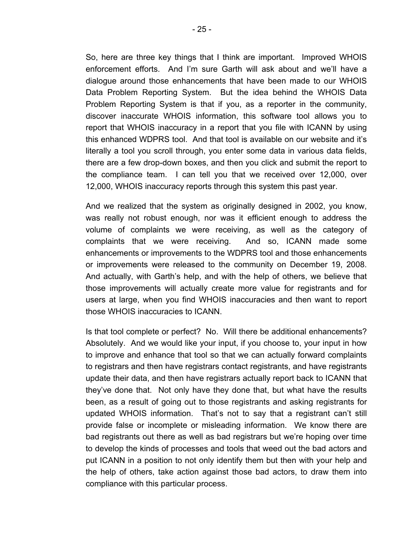So, here are three key things that I think are important. Improved WHOIS enforcement efforts. And I'm sure Garth will ask about and we'll have a dialogue around those enhancements that have been made to our WHOIS Data Problem Reporting System. But the idea behind the WHOIS Data Problem Reporting System is that if you, as a reporter in the community, discover inaccurate WHOIS information, this software tool allows you to report that WHOIS inaccuracy in a report that you file with ICANN by using this enhanced WDPRS tool. And that tool is available on our website and it's literally a tool you scroll through, you enter some data in various data fields, there are a few drop-down boxes, and then you click and submit the report to the compliance team. I can tell you that we received over 12,000, over 12,000, WHOIS inaccuracy reports through this system this past year.

And we realized that the system as originally designed in 2002, you know, was really not robust enough, nor was it efficient enough to address the volume of complaints we were receiving, as well as the category of complaints that we were receiving. And so, ICANN made some enhancements or improvements to the WDPRS tool and those enhancements or improvements were released to the community on December 19, 2008. And actually, with Garth's help, and with the help of others, we believe that those improvements will actually create more value for registrants and for users at large, when you find WHOIS inaccuracies and then want to report those WHOIS inaccuracies to ICANN.

Is that tool complete or perfect? No. Will there be additional enhancements? Absolutely. And we would like your input, if you choose to, your input in how to improve and enhance that tool so that we can actually forward complaints to registrars and then have registrars contact registrants, and have registrants update their data, and then have registrars actually report back to ICANN that they've done that. Not only have they done that, but what have the results been, as a result of going out to those registrants and asking registrants for updated WHOIS information. That's not to say that a registrant can't still provide false or incomplete or misleading information. We know there are bad registrants out there as well as bad registrars but we're hoping over time to develop the kinds of processes and tools that weed out the bad actors and put ICANN in a position to not only identify them but then with your help and the help of others, take action against those bad actors, to draw them into compliance with this particular process.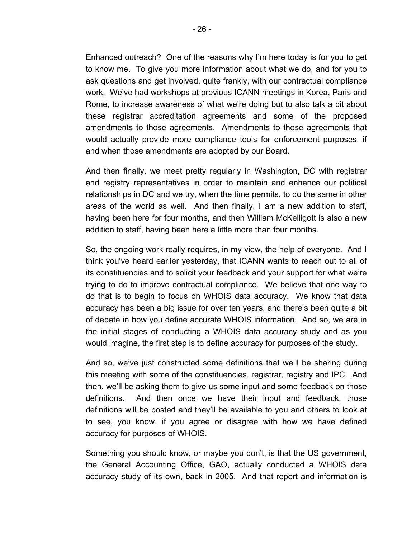- 26 -

Enhanced outreach? One of the reasons why I'm here today is for you to get to know me. To give you more information about what we do, and for you to ask questions and get involved, quite frankly, with our contractual compliance work. We've had workshops at previous ICANN meetings in Korea, Paris and Rome, to increase awareness of what we're doing but to also talk a bit about these registrar accreditation agreements and some of the proposed amendments to those agreements. Amendments to those agreements that would actually provide more compliance tools for enforcement purposes, if and when those amendments are adopted by our Board.

And then finally, we meet pretty regularly in Washington, DC with registrar and registry representatives in order to maintain and enhance our political relationships in DC and we try, when the time permits, to do the same in other areas of the world as well. And then finally, I am a new addition to staff, having been here for four months, and then William McKelligott is also a new addition to staff, having been here a little more than four months.

So, the ongoing work really requires, in my view, the help of everyone. And I think you've heard earlier yesterday, that ICANN wants to reach out to all of its constituencies and to solicit your feedback and your support for what we're trying to do to improve contractual compliance. We believe that one way to do that is to begin to focus on WHOIS data accuracy. We know that data accuracy has been a big issue for over ten years, and there's been quite a bit of debate in how you define accurate WHOIS information. And so, we are in the initial stages of conducting a WHOIS data accuracy study and as you would imagine, the first step is to define accuracy for purposes of the study.

And so, we've just constructed some definitions that we'll be sharing during this meeting with some of the constituencies, registrar, registry and IPC. And then, we'll be asking them to give us some input and some feedback on those definitions. And then once we have their input and feedback, those definitions will be posted and they'll be available to you and others to look at to see, you know, if you agree or disagree with how we have defined accuracy for purposes of WHOIS.

Something you should know, or maybe you don't, is that the US government, the General Accounting Office, GAO, actually conducted a WHOIS data accuracy study of its own, back in 2005. And that report and information is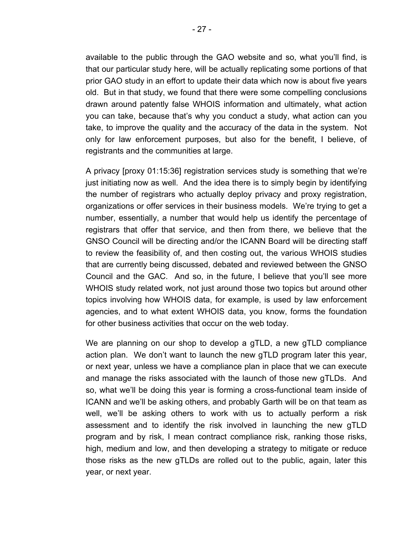available to the public through the GAO website and so, what you'll find, is that our particular study here, will be actually replicating some portions of that prior GAO study in an effort to update their data which now is about five years old. But in that study, we found that there were some compelling conclusions drawn around patently false WHOIS information and ultimately, what action you can take, because that's why you conduct a study, what action can you take, to improve the quality and the accuracy of the data in the system. Not only for law enforcement purposes, but also for the benefit, I believe, of registrants and the communities at large.

A privacy [proxy 01:15:36] registration services study is something that we're just initiating now as well. And the idea there is to simply begin by identifying the number of registrars who actually deploy privacy and proxy registration, organizations or offer services in their business models. We're trying to get a number, essentially, a number that would help us identify the percentage of registrars that offer that service, and then from there, we believe that the GNSO Council will be directing and/or the ICANN Board will be directing staff to review the feasibility of, and then costing out, the various WHOIS studies that are currently being discussed, debated and reviewed between the GNSO Council and the GAC. And so, in the future, I believe that you'll see more WHOIS study related work, not just around those two topics but around other topics involving how WHOIS data, for example, is used by law enforcement agencies, and to what extent WHOIS data, you know, forms the foundation for other business activities that occur on the web today.

We are planning on our shop to develop a gTLD, a new gTLD compliance action plan. We don't want to launch the new gTLD program later this year, or next year, unless we have a compliance plan in place that we can execute and manage the risks associated with the launch of those new gTLDs. And so, what we'll be doing this year is forming a cross-functional team inside of ICANN and we'll be asking others, and probably Garth will be on that team as well, we'll be asking others to work with us to actually perform a risk assessment and to identify the risk involved in launching the new gTLD program and by risk, I mean contract compliance risk, ranking those risks, high, medium and low, and then developing a strategy to mitigate or reduce those risks as the new gTLDs are rolled out to the public, again, later this year, or next year.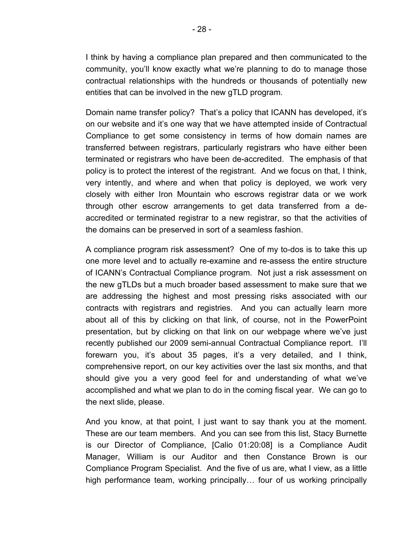I think by having a compliance plan prepared and then communicated to the community, you'll know exactly what we're planning to do to manage those contractual relationships with the hundreds or thousands of potentially new entities that can be involved in the new gTLD program.

Domain name transfer policy? That's a policy that ICANN has developed, it's on our website and it's one way that we have attempted inside of Contractual Compliance to get some consistency in terms of how domain names are transferred between registrars, particularly registrars who have either been terminated or registrars who have been de-accredited. The emphasis of that policy is to protect the interest of the registrant. And we focus on that, I think, very intently, and where and when that policy is deployed, we work very closely with either Iron Mountain who escrows registrar data or we work through other escrow arrangements to get data transferred from a deaccredited or terminated registrar to a new registrar, so that the activities of the domains can be preserved in sort of a seamless fashion.

A compliance program risk assessment? One of my to-dos is to take this up one more level and to actually re-examine and re-assess the entire structure of ICANN's Contractual Compliance program. Not just a risk assessment on the new gTLDs but a much broader based assessment to make sure that we are addressing the highest and most pressing risks associated with our contracts with registrars and registries. And you can actually learn more about all of this by clicking on that link, of course, not in the PowerPoint presentation, but by clicking on that link on our webpage where we've just recently published our 2009 semi-annual Contractual Compliance report. I'll forewarn you, it's about 35 pages, it's a very detailed, and I think, comprehensive report, on our key activities over the last six months, and that should give you a very good feel for and understanding of what we've accomplished and what we plan to do in the coming fiscal year. We can go to the next slide, please.

And you know, at that point, I just want to say thank you at the moment. These are our team members. And you can see from this list, Stacy Burnette is our Director of Compliance, [Calio 01:20:08] is a Compliance Audit Manager, William is our Auditor and then Constance Brown is our Compliance Program Specialist. And the five of us are, what I view, as a little high performance team, working principally… four of us working principally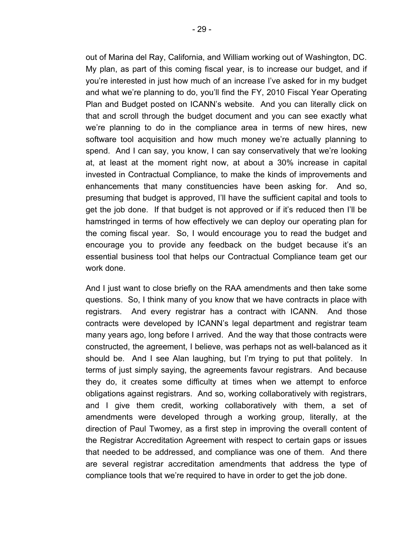out of Marina del Ray, California, and William working out of Washington, DC. My plan, as part of this coming fiscal year, is to increase our budget, and if you're interested in just how much of an increase I've asked for in my budget and what we're planning to do, you'll find the FY, 2010 Fiscal Year Operating Plan and Budget posted on ICANN's website. And you can literally click on that and scroll through the budget document and you can see exactly what we're planning to do in the compliance area in terms of new hires, new software tool acquisition and how much money we're actually planning to spend. And I can say, you know, I can say conservatively that we're looking at, at least at the moment right now, at about a 30% increase in capital invested in Contractual Compliance, to make the kinds of improvements and enhancements that many constituencies have been asking for. And so, presuming that budget is approved, I'll have the sufficient capital and tools to get the job done. If that budget is not approved or if it's reduced then I'll be hamstringed in terms of how effectively we can deploy our operating plan for the coming fiscal year. So, I would encourage you to read the budget and encourage you to provide any feedback on the budget because it's an essential business tool that helps our Contractual Compliance team get our work done.

And I just want to close briefly on the RAA amendments and then take some questions. So, I think many of you know that we have contracts in place with registrars. And every registrar has a contract with ICANN. And those contracts were developed by ICANN's legal department and registrar team many years ago, long before I arrived. And the way that those contracts were constructed, the agreement, I believe, was perhaps not as well-balanced as it should be. And I see Alan laughing, but I'm trying to put that politely. In terms of just simply saying, the agreements favour registrars. And because they do, it creates some difficulty at times when we attempt to enforce obligations against registrars. And so, working collaboratively with registrars, and I give them credit, working collaboratively with them, a set of amendments were developed through a working group, literally, at the direction of Paul Twomey, as a first step in improving the overall content of the Registrar Accreditation Agreement with respect to certain gaps or issues that needed to be addressed, and compliance was one of them. And there are several registrar accreditation amendments that address the type of compliance tools that we're required to have in order to get the job done.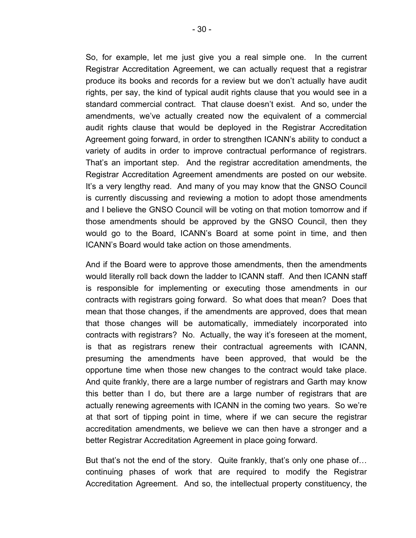So, for example, let me just give you a real simple one. In the current Registrar Accreditation Agreement, we can actually request that a registrar produce its books and records for a review but we don't actually have audit rights, per say, the kind of typical audit rights clause that you would see in a standard commercial contract. That clause doesn't exist. And so, under the amendments, we've actually created now the equivalent of a commercial audit rights clause that would be deployed in the Registrar Accreditation Agreement going forward, in order to strengthen ICANN's ability to conduct a variety of audits in order to improve contractual performance of registrars. That's an important step. And the registrar accreditation amendments, the Registrar Accreditation Agreement amendments are posted on our website. It's a very lengthy read. And many of you may know that the GNSO Council is currently discussing and reviewing a motion to adopt those amendments and I believe the GNSO Council will be voting on that motion tomorrow and if those amendments should be approved by the GNSO Council, then they would go to the Board, ICANN's Board at some point in time, and then ICANN's Board would take action on those amendments.

And if the Board were to approve those amendments, then the amendments would literally roll back down the ladder to ICANN staff. And then ICANN staff is responsible for implementing or executing those amendments in our contracts with registrars going forward. So what does that mean? Does that mean that those changes, if the amendments are approved, does that mean that those changes will be automatically, immediately incorporated into contracts with registrars? No. Actually, the way it's foreseen at the moment, is that as registrars renew their contractual agreements with ICANN, presuming the amendments have been approved, that would be the opportune time when those new changes to the contract would take place. And quite frankly, there are a large number of registrars and Garth may know this better than I do, but there are a large number of registrars that are actually renewing agreements with ICANN in the coming two years. So we're at that sort of tipping point in time, where if we can secure the registrar accreditation amendments, we believe we can then have a stronger and a better Registrar Accreditation Agreement in place going forward.

But that's not the end of the story. Quite frankly, that's only one phase of… continuing phases of work that are required to modify the Registrar Accreditation Agreement. And so, the intellectual property constituency, the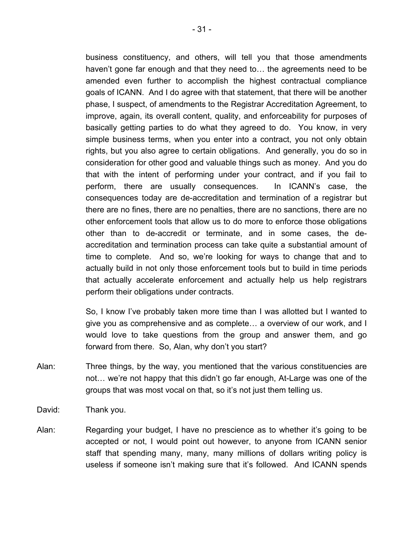business constituency, and others, will tell you that those amendments haven't gone far enough and that they need to… the agreements need to be amended even further to accomplish the highest contractual compliance goals of ICANN. And I do agree with that statement, that there will be another phase, I suspect, of amendments to the Registrar Accreditation Agreement, to improve, again, its overall content, quality, and enforceability for purposes of basically getting parties to do what they agreed to do. You know, in very simple business terms, when you enter into a contract, you not only obtain

rights, but you also agree to certain obligations. And generally, you do so in consideration for other good and valuable things such as money. And you do that with the intent of performing under your contract, and if you fail to perform, there are usually consequences. In ICANN's case, the consequences today are de-accreditation and termination of a registrar but there are no fines, there are no penalties, there are no sanctions, there are no other enforcement tools that allow us to do more to enforce those obligations other than to de-accredit or terminate, and in some cases, the deaccreditation and termination process can take quite a substantial amount of time to complete. And so, we're looking for ways to change that and to actually build in not only those enforcement tools but to build in time periods that actually accelerate enforcement and actually help us help registrars perform their obligations under contracts.

So, I know I've probably taken more time than I was allotted but I wanted to give you as comprehensive and as complete… a overview of our work, and I would love to take questions from the group and answer them, and go forward from there. So, Alan, why don't you start?

- Alan: Three things, by the way, you mentioned that the various constituencies are not… we're not happy that this didn't go far enough, At-Large was one of the groups that was most vocal on that, so it's not just them telling us.
- David: Thank you.
- Alan: Regarding your budget, I have no prescience as to whether it's going to be accepted or not, I would point out however, to anyone from ICANN senior staff that spending many, many, many millions of dollars writing policy is useless if someone isn't making sure that it's followed. And ICANN spends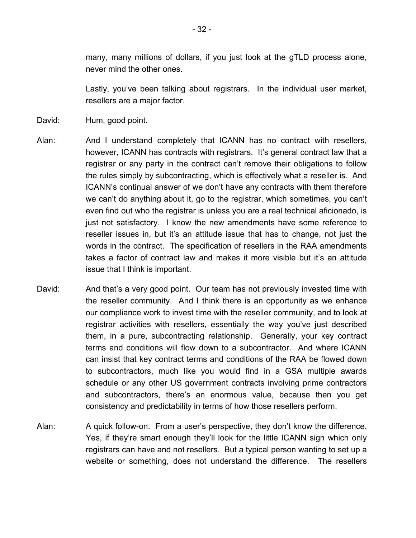many, many millions of dollars, if you just look at the gTLD process alone, never mind the other ones.

Lastly, you've been talking about registrars. In the individual user market, resellers are a major factor.

- David: Hum, good point.
- Alan: And I understand completely that ICANN has no contract with resellers, however, ICANN has contracts with registrars. It's general contract law that a registrar or any party in the contract can't remove their obligations to follow the rules simply by subcontracting, which is effectively what a reseller is. And ICANN's continual answer of we don't have any contracts with them therefore we can't do anything about it, go to the registrar, which sometimes, you can't even find out who the registrar is unless you are a real technical aficionado, is just not satisfactory. I know the new amendments have some reference to reseller issues in, but it's an attitude issue that has to change, not just the words in the contract. The specification of resellers in the RAA amendments takes a factor of contract law and makes it more visible but it's an attitude issue that I think is important.
- David: And that's a very good point. Our team has not previously invested time with the reseller community. And I think there is an opportunity as we enhance our compliance work to invest time with the reseller community, and to look at registrar activities with resellers, essentially the way you've just described them, in a pure, subcontracting relationship. Generally, your key contract terms and conditions will flow down to a subcontractor. And where ICANN can insist that key contract terms and conditions of the RAA be flowed down to subcontractors, much like you would find in a GSA multiple awards schedule or any other US government contracts involving prime contractors and subcontractors, there's an enormous value, because then you get consistency and predictability in terms of how those resellers perform.
- Alan: A quick follow-on. From a user's perspective, they don't know the difference. Yes, if they're smart enough they'll look for the little ICANN sign which only registrars can have and not resellers. But a typical person wanting to set up a website or something, does not understand the difference. The resellers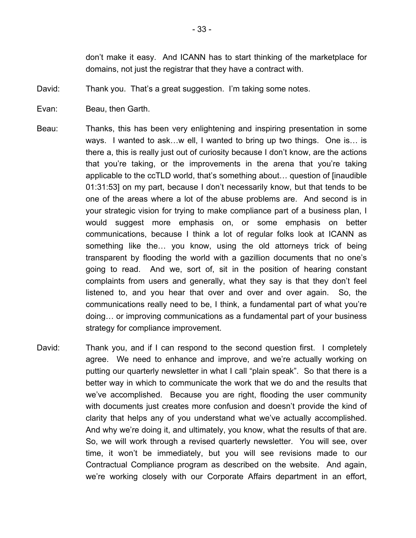don't make it easy. And ICANN has to start thinking of the marketplace for domains, not just the registrar that they have a contract with.

- David: Thank you. That's a great suggestion. I'm taking some notes.
- Evan: Beau, then Garth.
- Beau: Thanks, this has been very enlightening and inspiring presentation in some ways. I wanted to ask…w ell, I wanted to bring up two things. One is… is there a, this is really just out of curiosity because I don't know, are the actions that you're taking, or the improvements in the arena that you're taking applicable to the ccTLD world, that's something about… question of [inaudible 01:31:53] on my part, because I don't necessarily know, but that tends to be one of the areas where a lot of the abuse problems are. And second is in your strategic vision for trying to make compliance part of a business plan, I would suggest more emphasis on, or some emphasis on better communications, because I think a lot of regular folks look at ICANN as something like the… you know, using the old attorneys trick of being transparent by flooding the world with a gazillion documents that no one's going to read. And we, sort of, sit in the position of hearing constant complaints from users and generally, what they say is that they don't feel listened to, and you hear that over and over and over again. So, the communications really need to be, I think, a fundamental part of what you're doing… or improving communications as a fundamental part of your business strategy for compliance improvement.
- David: Thank you, and if I can respond to the second question first. I completely agree. We need to enhance and improve, and we're actually working on putting our quarterly newsletter in what I call "plain speak". So that there is a better way in which to communicate the work that we do and the results that we've accomplished. Because you are right, flooding the user community with documents just creates more confusion and doesn't provide the kind of clarity that helps any of you understand what we've actually accomplished. And why we're doing it, and ultimately, you know, what the results of that are. So, we will work through a revised quarterly newsletter. You will see, over time, it won't be immediately, but you will see revisions made to our Contractual Compliance program as described on the website. And again, we're working closely with our Corporate Affairs department in an effort,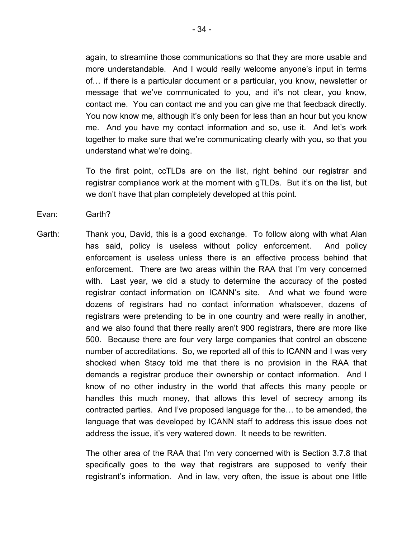again, to streamline those communications so that they are more usable and more understandable. And I would really welcome anyone's input in terms of… if there is a particular document or a particular, you know, newsletter or message that we've communicated to you, and it's not clear, you know, contact me. You can contact me and you can give me that feedback directly. You now know me, although it's only been for less than an hour but you know me. And you have my contact information and so, use it. And let's work together to make sure that we're communicating clearly with you, so that you understand what we're doing.

To the first point, ccTLDs are on the list, right behind our registrar and registrar compliance work at the moment with gTLDs. But it's on the list, but we don't have that plan completely developed at this point.

Evan: Garth?

Garth: Thank you, David, this is a good exchange. To follow along with what Alan has said, policy is useless without policy enforcement. And policy enforcement is useless unless there is an effective process behind that enforcement. There are two areas within the RAA that I'm very concerned with. Last year, we did a study to determine the accuracy of the posted registrar contact information on ICANN's site. And what we found were dozens of registrars had no contact information whatsoever, dozens of registrars were pretending to be in one country and were really in another, and we also found that there really aren't 900 registrars, there are more like 500. Because there are four very large companies that control an obscene number of accreditations. So, we reported all of this to ICANN and I was very shocked when Stacy told me that there is no provision in the RAA that demands a registrar produce their ownership or contact information. And I know of no other industry in the world that affects this many people or handles this much money, that allows this level of secrecy among its contracted parties. And I've proposed language for the… to be amended, the language that was developed by ICANN staff to address this issue does not address the issue, it's very watered down. It needs to be rewritten.

> The other area of the RAA that I'm very concerned with is Section 3.7.8 that specifically goes to the way that registrars are supposed to verify their registrant's information. And in law, very often, the issue is about one little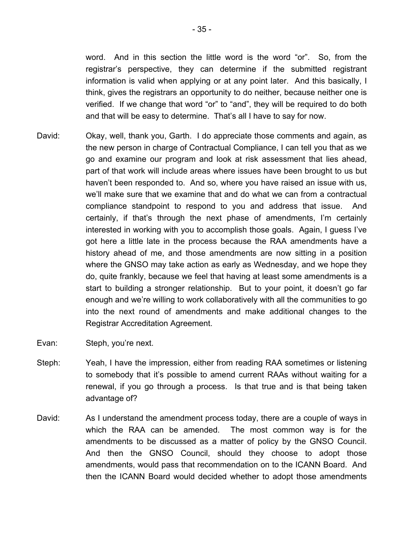word. And in this section the little word is the word "or". So, from the registrar's perspective, they can determine if the submitted registrant information is valid when applying or at any point later. And this basically, I think, gives the registrars an opportunity to do neither, because neither one is verified. If we change that word "or" to "and", they will be required to do both and that will be easy to determine. That's all I have to say for now.

- David: Okay, well, thank you, Garth. I do appreciate those comments and again, as the new person in charge of Contractual Compliance, I can tell you that as we go and examine our program and look at risk assessment that lies ahead, part of that work will include areas where issues have been brought to us but haven't been responded to. And so, where you have raised an issue with us, we'll make sure that we examine that and do what we can from a contractual compliance standpoint to respond to you and address that issue. And certainly, if that's through the next phase of amendments, I'm certainly interested in working with you to accomplish those goals. Again, I guess I've got here a little late in the process because the RAA amendments have a history ahead of me, and those amendments are now sitting in a position where the GNSO may take action as early as Wednesday, and we hope they do, quite frankly, because we feel that having at least some amendments is a start to building a stronger relationship. But to your point, it doesn't go far enough and we're willing to work collaboratively with all the communities to go into the next round of amendments and make additional changes to the Registrar Accreditation Agreement.
- Evan: Steph, you're next.
- Steph: Yeah, I have the impression, either from reading RAA sometimes or listening to somebody that it's possible to amend current RAAs without waiting for a renewal, if you go through a process. Is that true and is that being taken advantage of?
- David: As I understand the amendment process today, there are a couple of ways in which the RAA can be amended. The most common way is for the amendments to be discussed as a matter of policy by the GNSO Council. And then the GNSO Council, should they choose to adopt those amendments, would pass that recommendation on to the ICANN Board. And then the ICANN Board would decided whether to adopt those amendments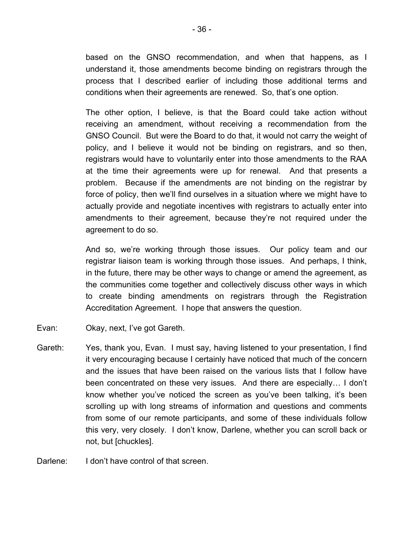based on the GNSO recommendation, and when that happens, as I understand it, those amendments become binding on registrars through the process that I described earlier of including those additional terms and conditions when their agreements are renewed. So, that's one option.

The other option, I believe, is that the Board could take action without receiving an amendment, without receiving a recommendation from the GNSO Council. But were the Board to do that, it would not carry the weight of policy, and I believe it would not be binding on registrars, and so then, registrars would have to voluntarily enter into those amendments to the RAA at the time their agreements were up for renewal. And that presents a problem. Because if the amendments are not binding on the registrar by force of policy, then we'll find ourselves in a situation where we might have to actually provide and negotiate incentives with registrars to actually enter into amendments to their agreement, because they're not required under the agreement to do so.

And so, we're working through those issues. Our policy team and our registrar liaison team is working through those issues. And perhaps, I think, in the future, there may be other ways to change or amend the agreement, as the communities come together and collectively discuss other ways in which to create binding amendments on registrars through the Registration Accreditation Agreement. I hope that answers the question.

- Evan: Okay, next, I've got Gareth.
- Gareth: Yes, thank you, Evan. I must say, having listened to your presentation, I find it very encouraging because I certainly have noticed that much of the concern and the issues that have been raised on the various lists that I follow have been concentrated on these very issues. And there are especially… I don't know whether you've noticed the screen as you've been talking, it's been scrolling up with long streams of information and questions and comments from some of our remote participants, and some of these individuals follow this very, very closely. I don't know, Darlene, whether you can scroll back or not, but [chuckles].

Darlene: I don't have control of that screen.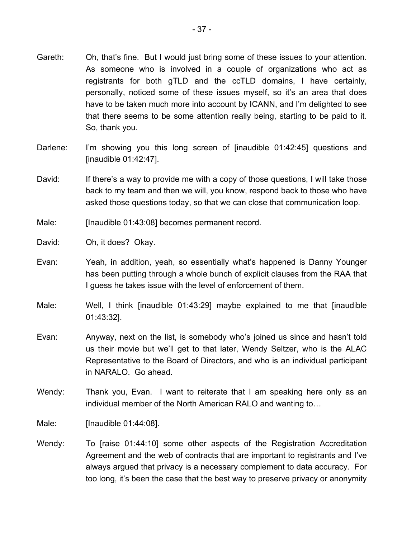- Gareth: Oh, that's fine. But I would just bring some of these issues to your attention. As someone who is involved in a couple of organizations who act as registrants for both gTLD and the ccTLD domains, I have certainly, personally, noticed some of these issues myself, so it's an area that does have to be taken much more into account by ICANN, and I'm delighted to see that there seems to be some attention really being, starting to be paid to it. So, thank you.
- Darlene: I'm showing you this long screen of [inaudible 01:42:45] questions and [inaudible 01:42:47].
- David: If there's a way to provide me with a copy of those questions, I will take those back to my team and then we will, you know, respond back to those who have asked those questions today, so that we can close that communication loop.
- Male: [Inaudible 01:43:08] becomes permanent record.
- David: Oh, it does? Okay.
- Evan: Yeah, in addition, yeah, so essentially what's happened is Danny Younger has been putting through a whole bunch of explicit clauses from the RAA that I guess he takes issue with the level of enforcement of them.
- Male: Well, I think [inaudible 01:43:29] maybe explained to me that [inaudible 01:43:32].
- Evan: Anyway, next on the list, is somebody who's joined us since and hasn't told us their movie but we'll get to that later, Wendy Seltzer, who is the ALAC Representative to the Board of Directors, and who is an individual participant in NARALO. Go ahead.
- Wendy: Thank you, Evan. I want to reiterate that I am speaking here only as an individual member of the North American RALO and wanting to…
- Male: [Inaudible 01:44:08].
- Wendy: To [raise 01:44:10] some other aspects of the Registration Accreditation Agreement and the web of contracts that are important to registrants and I've always argued that privacy is a necessary complement to data accuracy. For too long, it's been the case that the best way to preserve privacy or anonymity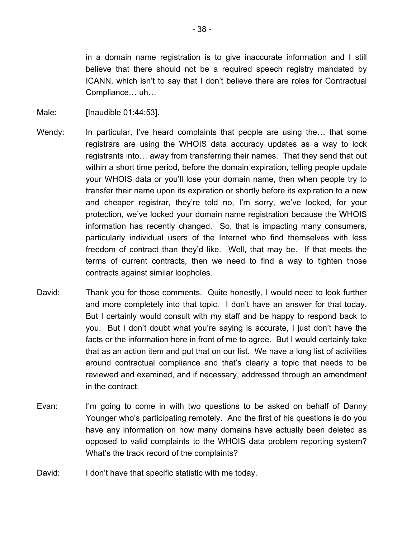in a domain name registration is to give inaccurate information and I still believe that there should not be a required speech registry mandated by ICANN, which isn't to say that I don't believe there are roles for Contractual Compliance… uh…

- Male: [Inaudible 01:44:53].
- Wendy: In particular, I've heard complaints that people are using the... that some registrars are using the WHOIS data accuracy updates as a way to lock registrants into… away from transferring their names. That they send that out within a short time period, before the domain expiration, telling people update your WHOIS data or you'll lose your domain name, then when people try to transfer their name upon its expiration or shortly before its expiration to a new and cheaper registrar, they're told no, I'm sorry, we've locked, for your protection, we've locked your domain name registration because the WHOIS information has recently changed. So, that is impacting many consumers, particularly individual users of the Internet who find themselves with less freedom of contract than they'd like. Well, that may be. If that meets the terms of current contracts, then we need to find a way to tighten those contracts against similar loopholes.
- David: Thank you for those comments. Quite honestly, I would need to look further and more completely into that topic. I don't have an answer for that today. But I certainly would consult with my staff and be happy to respond back to you. But I don't doubt what you're saying is accurate, I just don't have the facts or the information here in front of me to agree. But I would certainly take that as an action item and put that on our list. We have a long list of activities around contractual compliance and that's clearly a topic that needs to be reviewed and examined, and if necessary, addressed through an amendment in the contract.
- Evan: I'm going to come in with two questions to be asked on behalf of Danny Younger who's participating remotely. And the first of his questions is do you have any information on how many domains have actually been deleted as opposed to valid complaints to the WHOIS data problem reporting system? What's the track record of the complaints?
- David: I don't have that specific statistic with me today.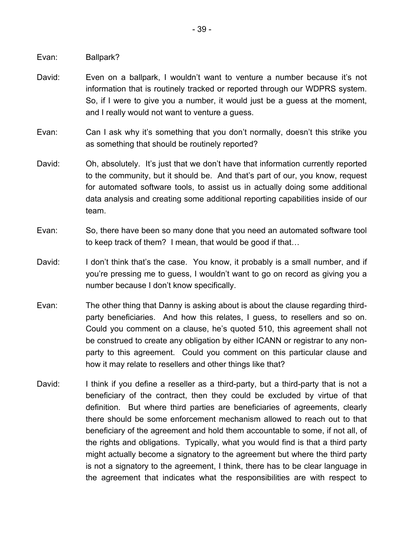Evan: Ballpark?

- David: Even on a ballpark, I wouldn't want to venture a number because it's not information that is routinely tracked or reported through our WDPRS system. So, if I were to give you a number, it would just be a guess at the moment, and I really would not want to venture a guess.
- Evan: Can I ask why it's something that you don't normally, doesn't this strike you as something that should be routinely reported?
- David: Oh, absolutely. It's just that we don't have that information currently reported to the community, but it should be. And that's part of our, you know, request for automated software tools, to assist us in actually doing some additional data analysis and creating some additional reporting capabilities inside of our team.
- Evan: So, there have been so many done that you need an automated software tool to keep track of them? I mean, that would be good if that…
- David: I don't think that's the case. You know, it probably is a small number, and if you're pressing me to guess, I wouldn't want to go on record as giving you a number because I don't know specifically.
- Evan: The other thing that Danny is asking about is about the clause regarding thirdparty beneficiaries. And how this relates, I guess, to resellers and so on. Could you comment on a clause, he's quoted 510, this agreement shall not be construed to create any obligation by either ICANN or registrar to any nonparty to this agreement. Could you comment on this particular clause and how it may relate to resellers and other things like that?
- David: I think if you define a reseller as a third-party, but a third-party that is not a beneficiary of the contract, then they could be excluded by virtue of that definition. But where third parties are beneficiaries of agreements, clearly there should be some enforcement mechanism allowed to reach out to that beneficiary of the agreement and hold them accountable to some, if not all, of the rights and obligations. Typically, what you would find is that a third party might actually become a signatory to the agreement but where the third party is not a signatory to the agreement, I think, there has to be clear language in the agreement that indicates what the responsibilities are with respect to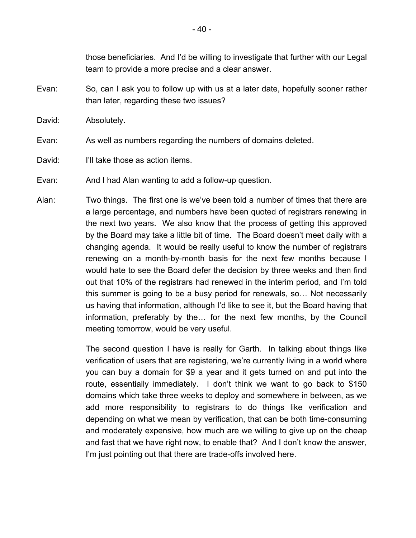those beneficiaries. And I'd be willing to investigate that further with our Legal team to provide a more precise and a clear answer.

- Evan: So, can I ask you to follow up with us at a later date, hopefully sooner rather than later, regarding these two issues?
- David: Absolutely.
- Evan: As well as numbers regarding the numbers of domains deleted.
- David: I'll take those as action items.
- Evan: And I had Alan wanting to add a follow-up question.
- Alan: Two things. The first one is we've been told a number of times that there are a large percentage, and numbers have been quoted of registrars renewing in the next two years. We also know that the process of getting this approved by the Board may take a little bit of time. The Board doesn't meet daily with a changing agenda. It would be really useful to know the number of registrars renewing on a month-by-month basis for the next few months because I would hate to see the Board defer the decision by three weeks and then find out that 10% of the registrars had renewed in the interim period, and I'm told this summer is going to be a busy period for renewals, so… Not necessarily us having that information, although I'd like to see it, but the Board having that information, preferably by the… for the next few months, by the Council meeting tomorrow, would be very useful.

The second question I have is really for Garth. In talking about things like verification of users that are registering, we're currently living in a world where you can buy a domain for \$9 a year and it gets turned on and put into the route, essentially immediately. I don't think we want to go back to \$150 domains which take three weeks to deploy and somewhere in between, as we add more responsibility to registrars to do things like verification and depending on what we mean by verification, that can be both time-consuming and moderately expensive, how much are we willing to give up on the cheap and fast that we have right now, to enable that? And I don't know the answer, I'm just pointing out that there are trade-offs involved here.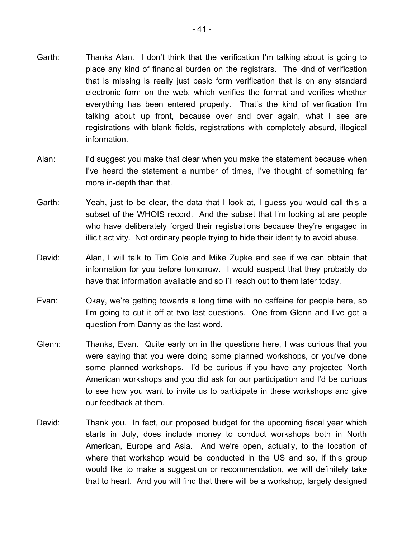- Garth: Thanks Alan. I don't think that the verification I'm talking about is going to place any kind of financial burden on the registrars. The kind of verification that is missing is really just basic form verification that is on any standard electronic form on the web, which verifies the format and verifies whether everything has been entered properly. That's the kind of verification I'm talking about up front, because over and over again, what I see are registrations with blank fields, registrations with completely absurd, illogical information.
- Alan: I'd suggest you make that clear when you make the statement because when I've heard the statement a number of times, I've thought of something far more in-depth than that.
- Garth: Yeah, just to be clear, the data that I look at, I guess you would call this a subset of the WHOIS record. And the subset that I'm looking at are people who have deliberately forged their registrations because they're engaged in illicit activity. Not ordinary people trying to hide their identity to avoid abuse.
- David: Alan, I will talk to Tim Cole and Mike Zupke and see if we can obtain that information for you before tomorrow. I would suspect that they probably do have that information available and so I'll reach out to them later today.
- Evan: Okay, we're getting towards a long time with no caffeine for people here, so I'm going to cut it off at two last questions. One from Glenn and I've got a question from Danny as the last word.
- Glenn: Thanks, Evan. Quite early on in the questions here, I was curious that you were saying that you were doing some planned workshops, or you've done some planned workshops. I'd be curious if you have any projected North American workshops and you did ask for our participation and I'd be curious to see how you want to invite us to participate in these workshops and give our feedback at them.
- David: Thank you. In fact, our proposed budget for the upcoming fiscal year which starts in July, does include money to conduct workshops both in North American, Europe and Asia. And we're open, actually, to the location of where that workshop would be conducted in the US and so, if this group would like to make a suggestion or recommendation, we will definitely take that to heart. And you will find that there will be a workshop, largely designed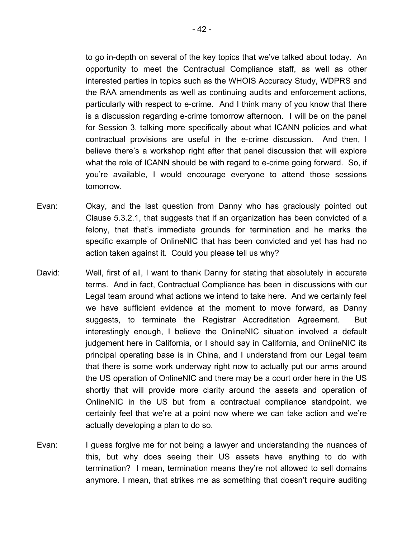to go in-depth on several of the key topics that we've talked about today. An opportunity to meet the Contractual Compliance staff, as well as other interested parties in topics such as the WHOIS Accuracy Study, WDPRS and the RAA amendments as well as continuing audits and enforcement actions, particularly with respect to e-crime. And I think many of you know that there is a discussion regarding e-crime tomorrow afternoon. I will be on the panel for Session 3, talking more specifically about what ICANN policies and what contractual provisions are useful in the e-crime discussion. And then, I believe there's a workshop right after that panel discussion that will explore what the role of ICANN should be with regard to e-crime going forward. So, if you're available, I would encourage everyone to attend those sessions tomorrow.

- Evan: Okay, and the last question from Danny who has graciously pointed out Clause 5.3.2.1, that suggests that if an organization has been convicted of a felony, that that's immediate grounds for termination and he marks the specific example of OnlineNIC that has been convicted and yet has had no action taken against it. Could you please tell us why?
- David: Well, first of all, I want to thank Danny for stating that absolutely in accurate terms. And in fact, Contractual Compliance has been in discussions with our Legal team around what actions we intend to take here. And we certainly feel we have sufficient evidence at the moment to move forward, as Danny suggests, to terminate the Registrar Accreditation Agreement. But interestingly enough, I believe the OnlineNIC situation involved a default judgement here in California, or I should say in California, and OnlineNIC its principal operating base is in China, and I understand from our Legal team that there is some work underway right now to actually put our arms around the US operation of OnlineNIC and there may be a court order here in the US shortly that will provide more clarity around the assets and operation of OnlineNIC in the US but from a contractual compliance standpoint, we certainly feel that we're at a point now where we can take action and we're actually developing a plan to do so.
- Evan: I guess forgive me for not being a lawyer and understanding the nuances of this, but why does seeing their US assets have anything to do with termination? I mean, termination means they're not allowed to sell domains anymore. I mean, that strikes me as something that doesn't require auditing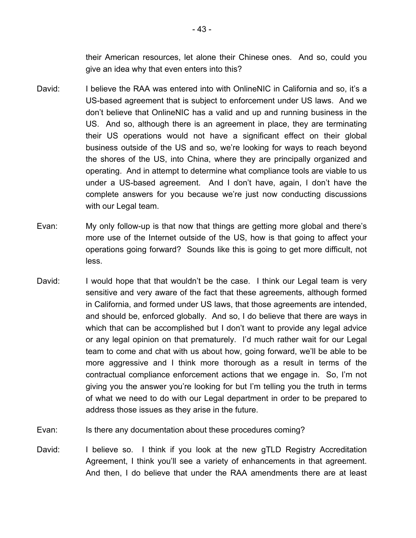their American resources, let alone their Chinese ones. And so, could you give an idea why that even enters into this?

- David: I believe the RAA was entered into with OnlineNIC in California and so, it's a US-based agreement that is subject to enforcement under US laws. And we don't believe that OnlineNIC has a valid and up and running business in the US. And so, although there is an agreement in place, they are terminating their US operations would not have a significant effect on their global business outside of the US and so, we're looking for ways to reach beyond the shores of the US, into China, where they are principally organized and operating. And in attempt to determine what compliance tools are viable to us under a US-based agreement. And I don't have, again, I don't have the complete answers for you because we're just now conducting discussions with our Legal team.
- Evan: My only follow-up is that now that things are getting more global and there's more use of the Internet outside of the US, how is that going to affect your operations going forward? Sounds like this is going to get more difficult, not less.
- David: I would hope that that wouldn't be the case. I think our Legal team is very sensitive and very aware of the fact that these agreements, although formed in California, and formed under US laws, that those agreements are intended, and should be, enforced globally. And so, I do believe that there are ways in which that can be accomplished but I don't want to provide any legal advice or any legal opinion on that prematurely. I'd much rather wait for our Legal team to come and chat with us about how, going forward, we'll be able to be more aggressive and I think more thorough as a result in terms of the contractual compliance enforcement actions that we engage in. So, I'm not giving you the answer you're looking for but I'm telling you the truth in terms of what we need to do with our Legal department in order to be prepared to address those issues as they arise in the future.
- Evan: Is there any documentation about these procedures coming?
- David: I believe so. I think if you look at the new gTLD Registry Accreditation Agreement, I think you'll see a variety of enhancements in that agreement. And then, I do believe that under the RAA amendments there are at least